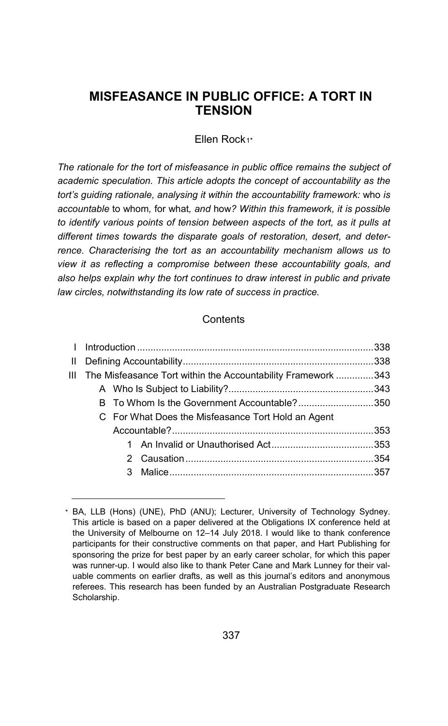# **MISFEASANCE IN PUBLIC OFFICE: A TORT IN TENSION**

Ellen Rock[1](#page-0-0)\*

*The rationale for the tort of misfeasance in public office remains the subject of academic speculation. This article adopts the concept of accountability as the tort's guiding rationale, analysing it within the accountability framework:* who *is accountable* to whom*,* for what*, and* how*? Within this framework, it is possible to identify various points of tension between aspects of the tort, as it pulls at different times towards the disparate goals of restoration, desert, and deterrence. Characterising the tort as an accountability mechanism allows us to view it as reflecting a compromise between these accountability goals, and also helps explain why the tort continues to draw interest in public and private law circles, notwithstanding its low rate of success in practice.*

#### **Contents**

|  | III The Misfeasance Tort within the Accountability Framework 343 |  |
|--|------------------------------------------------------------------|--|
|  |                                                                  |  |
|  | B To Whom Is the Government Accountable?350                      |  |
|  | C For What Does the Misfeasance Tort Hold an Agent               |  |
|  |                                                                  |  |
|  |                                                                  |  |
|  |                                                                  |  |
|  |                                                                  |  |
|  |                                                                  |  |

<span id="page-0-0"></span><sup>\*</sup> BA, LLB (Hons) (UNE), PhD (ANU); Lecturer, University of Technology Sydney. This article is based on a paper delivered at the Obligations IX conference held at the University of Melbourne on 12–14 July 2018. I would like to thank conference participants for their constructive comments on that paper, and Hart Publishing for sponsoring the prize for best paper by an early career scholar, for which this paper was runner-up. I would also like to thank Peter Cane and Mark Lunney for their valuable comments on earlier drafts, as well as this journal's editors and anonymous referees. This research has been funded by an Australian Postgraduate Research Scholarship.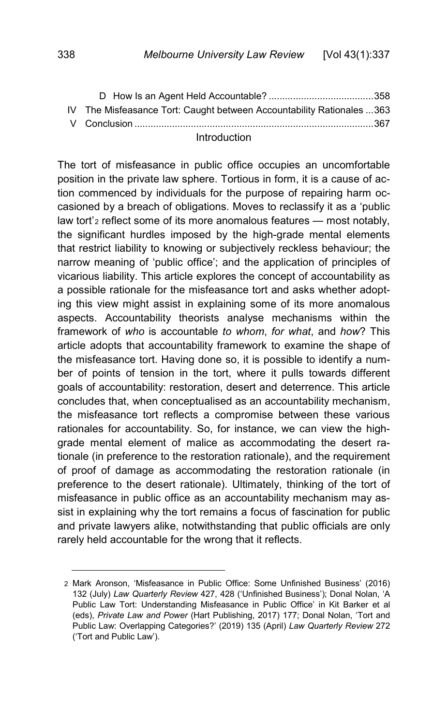| IV The Misfeasance Tort: Caught between Accountability Rationales 363 |  |
|-----------------------------------------------------------------------|--|
|                                                                       |  |
|                                                                       |  |

### <span id="page-1-0"></span>Introduction

<span id="page-1-2"></span>The tort of misfeasance in public office occupies an uncomfortable position in the private law sphere. Tortious in form, it is a cause of action commenced by individuals for the purpose of repairing harm occasioned by a breach of obligations. Moves to reclassify it as a 'public law tort'[2](#page-1-1) reflect some of its more anomalous features — most notably, the significant hurdles imposed by the high-grade mental elements that restrict liability to knowing or subjectively reckless behaviour; the narrow meaning of 'public office'; and the application of principles of vicarious liability. This article explores the concept of accountability as a possible rationale for the misfeasance tort and asks whether adopting this view might assist in explaining some of its more anomalous aspects. Accountability theorists analyse mechanisms within the framework of *who* is accountable *to whom*, *for what*, and *how*? This article adopts that accountability framework to examine the shape of the misfeasance tort. Having done so, it is possible to identify a number of points of tension in the tort, where it pulls towards different goals of accountability: restoration, desert and deterrence. This article concludes that, when conceptualised as an accountability mechanism, the misfeasance tort reflects a compromise between these various rationales for accountability. So, for instance, we can view the highgrade mental element of malice as accommodating the desert rationale (in preference to the restoration rationale), and the requirement of proof of damage as accommodating the restoration rationale (in preference to the desert rationale). Ultimately, thinking of the tort of misfeasance in public office as an accountability mechanism may assist in explaining why the tort remains a focus of fascination for public and private lawyers alike, notwithstanding that public officials are only rarely held accountable for the wrong that it reflects.

<span id="page-1-1"></span><sup>2</sup> Mark Aronson, 'Misfeasance in Public Office: Some Unfinished Business' (2016) 132 (July) *Law Quarterly Review* 427, 428 ('Unfinished Business'); Donal Nolan, 'A Public Law Tort: Understanding Misfeasance in Public Office' in Kit Barker et al (eds), *Private Law and Power* (Hart Publishing, 2017) 177; Donal Nolan, 'Tort and Public Law: Overlapping Categories?' (2019) 135 (April) *Law Quarterly Review* 272 ('Tort and Public Law').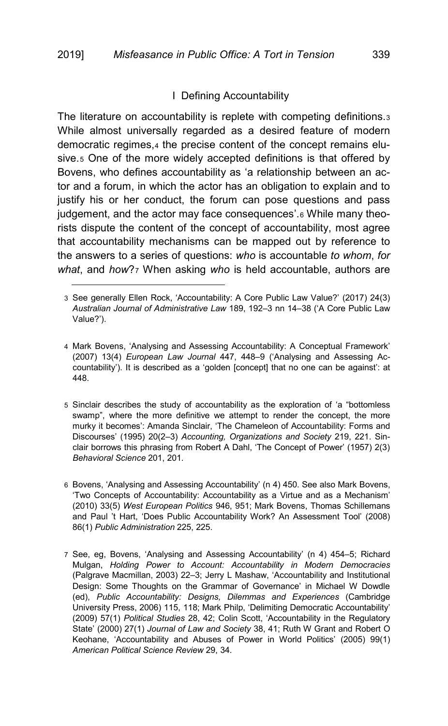<span id="page-2-7"></span>j

### <span id="page-2-9"></span><span id="page-2-8"></span><span id="page-2-1"></span>I Defining Accountability

<span id="page-2-0"></span>The literature on accountability is replete with competing definitions.[3](#page-2-2) While almost universally regarded as a desired feature of modern democratic regimes,[4](#page-2-3) the precise content of the concept remains elusive.[5](#page-2-4) One of the more widely accepted definitions is that offered by Bovens, who defines accountability as 'a relationship between an actor and a forum, in which the actor has an obligation to explain and to justify his or her conduct, the forum can pose questions and pass judgement, and the actor may face consequences'.<sup>[6](#page-2-5)</sup> While many theorists dispute the content of the concept of accountability, most agree that accountability mechanisms can be mapped out by reference to the answers to a series of questions: *who* is accountable *to whom*, *for what*, and *how*?[7](#page-2-6) When asking *who* is held accountable, authors are

- <span id="page-2-4"></span>5 Sinclair describes the study of accountability as the exploration of 'a "bottomless swamp", where the more definitive we attempt to render the concept, the more murky it becomes': Amanda Sinclair, 'The Chameleon of Accountability: Forms and Discourses' (1995) 20(2–3) *Accounting, Organizations and Society* 219, 221. Sinclair borrows this phrasing from Robert A Dahl, 'The Concept of Power' (1957) 2(3) *Behavioral Science* 201, 201.
- <span id="page-2-5"></span>6 Bovens, 'Analysing and Assessing Accountability' ([n 4\)](#page-2-1) 450. See also Mark Bovens, 'Two Concepts of Accountability: Accountability as a Virtue and as a Mechanism' (2010) 33(5) *West European Politics* 946, 951; Mark Bovens, Thomas Schillemans and Paul 't Hart, 'Does Public Accountability Work? An Assessment Tool' (2008) 86(1) *Public Administration* 225, 225.
- <span id="page-2-6"></span>7 See, eg, Bovens, 'Analysing and Assessing Accountability' (n [4\)](#page-2-1) 454–5; Richard Mulgan, *Holding Power to Account: Accountability in Modern Democracies* (Palgrave Macmillan, 2003) 22–3; Jerry L Mashaw, 'Accountability and Institutional Design: Some Thoughts on the Grammar of Governance' in Michael W Dowdle (ed), *Public Accountability: Designs, Dilemmas and Experiences* (Cambridge University Press, 2006) 115, 118; Mark Philp, 'Delimiting Democratic Accountability' (2009) 57(1) *Political Studies* 28, 42; Colin Scott, 'Accountability in the Regulatory State' (2000) 27(1) *Journal of Law and Society* 38, 41; Ruth W Grant and Robert O Keohane, 'Accountability and Abuses of Power in World Politics' (2005) 99(1) *American Political Science Review* 29, 34.

<span id="page-2-2"></span><sup>3</sup> See generally Ellen Rock, 'Accountability: A Core Public Law Value?' (2017) 24(3) *Australian Journal of Administrative Law* 189, 192–3 nn 14–38 ('A Core Public Law Value?').

<span id="page-2-3"></span><sup>4</sup> Mark Bovens, 'Analysing and Assessing Accountability: A Conceptual Framework' (2007) 13(4) *European Law Journal* 447, 448–9 ('Analysing and Assessing Accountability'). It is described as a 'golden [concept] that no one can be against': at 448.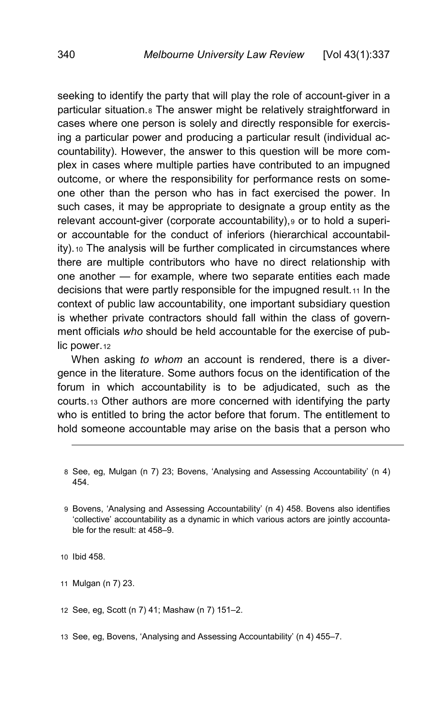seeking to identify the party that will play the role of account-giver in a particular situation.<sup>[8](#page-3-0)</sup> The answer might be relatively straightforward in cases where one person is solely and directly responsible for exercising a particular power and producing a particular result (individual accountability). However, the answer to this question will be more complex in cases where multiple parties have contributed to an impugned outcome, or where the responsibility for performance rests on someone other than the person who has in fact exercised the power. In such cases, it may be appropriate to designate a group entity as the relevant account-giver (corporate accountability), [9](#page-3-1) or to hold a superior accountable for the conduct of inferiors (hierarchical accountability).[10](#page-3-2) The analysis will be further complicated in circumstances where there are multiple contributors who have no direct relationship with one another — for example, where two separate entities each made decisions that were partly responsible for the impugned result.[11](#page-3-3) In the context of public law accountability, one important subsidiary question is whether private contractors should fall within the class of government officials *who* should be held accountable for the exercise of pub-lic power.[12](#page-3-4)

When asking *to whom* an account is rendered, there is a divergence in the literature. Some authors focus on the identification of the forum in which accountability is to be adjudicated, such as the courts.[13](#page-3-5) Other authors are more concerned with identifying the party who is entitled to bring the actor before that forum. The entitlement to hold someone accountable may arise on the basis that a person who

- <span id="page-3-0"></span>8 See, eg, Mulgan (n [7\)](#page-2-7) 23; Bovens, 'Analysing and Assessing Accountability' (n [4\)](#page-2-1) 454.
- <span id="page-3-1"></span>9 Bovens, 'Analysing and Assessing Accountability' (n [4\)](#page-2-1) 458. Bovens also identifies 'collective' accountability as a dynamic in which various actors are jointly accountable for the result: at 458–9.
- <span id="page-3-2"></span>10 Ibid 458.

- <span id="page-3-3"></span>11 Mulgan (n [7\)](#page-2-7) 23.
- <span id="page-3-4"></span>12 See, eg, Scott (n [7\)](#page-2-7) 41; Mashaw (n [7\)](#page-2-7) 151–2.
- <span id="page-3-5"></span>13 See, eg, Bovens, 'Analysing and Assessing Accountability' (n [4\)](#page-2-1) 455–7.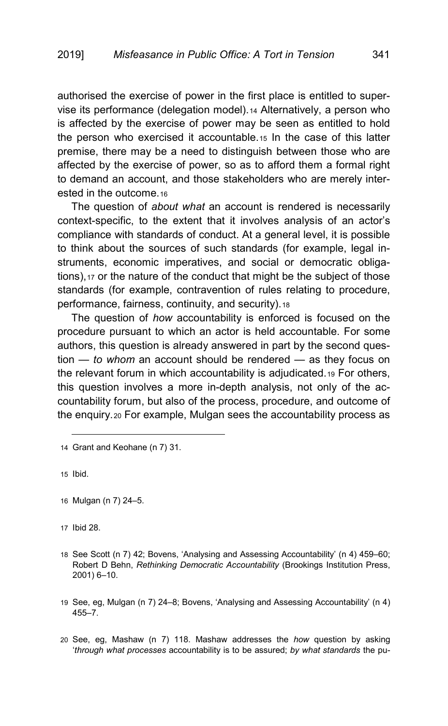authorised the exercise of power in the first place is entitled to supervise its performance (delegation model).[14](#page-4-0) Alternatively, a person who is affected by the exercise of power may be seen as entitled to hold the person who exercised it accountable.[15](#page-4-1) In the case of this latter premise, there may be a need to distinguish between those who are affected by the exercise of power, so as to afford them a formal right to demand an account, and those stakeholders who are merely inter-ested in the outcome [16](#page-4-2)

The question of *about what* an account is rendered is necessarily context-specific, to the extent that it involves analysis of an actor's compliance with standards of conduct. At a general level, it is possible to think about the sources of such standards (for example, legal instruments, economic imperatives, and social or democratic obligations),[17](#page-4-3) or the nature of the conduct that might be the subject of those standards (for example, contravention of rules relating to procedure, performance, fairness, continuity, and security).[18](#page-4-4)

<span id="page-4-7"></span>The question of *how* accountability is enforced is focused on the procedure pursuant to which an actor is held accountable. For some authors, this question is already answered in part by the second question — *to whom* an account should be rendered — as they focus on the relevant forum in which accountability is adjudicated.[19](#page-4-5) For others, this question involves a more in-depth analysis, not only of the accountability forum, but also of the process, procedure, and outcome of the enquiry.[20](#page-4-6) For example, Mulgan sees the accountability process as

<span id="page-4-1"></span>15 Ibid.

-

<span id="page-4-3"></span>17 Ibid 28.

- <span id="page-4-4"></span>18 See Scott (n [7\)](#page-2-7) 42; Bovens, 'Analysing and Assessing Accountability' (n [4\)](#page-2-1) 459–60; Robert D Behn, *Rethinking Democratic Accountability* (Brookings Institution Press, 2001) 6–10.
- <span id="page-4-5"></span>19 See, eg, Mulgan ([n 7\)](#page-2-7) 24–8; Bovens, 'Analysing and Assessing Accountability' ([n 4\)](#page-2-1) 455–7.
- <span id="page-4-6"></span>20 See, eg, Mashaw (n [7\)](#page-2-7) 118. Mashaw addresses the *how* question by asking '*through what processes* accountability is to be assured; *by what standards* the pu-

<span id="page-4-0"></span><sup>14</sup> Grant and Keohane ([n 7\)](#page-2-7) 31.

<span id="page-4-2"></span><sup>16</sup> Mulgan (n [7\)](#page-2-7) 24–5.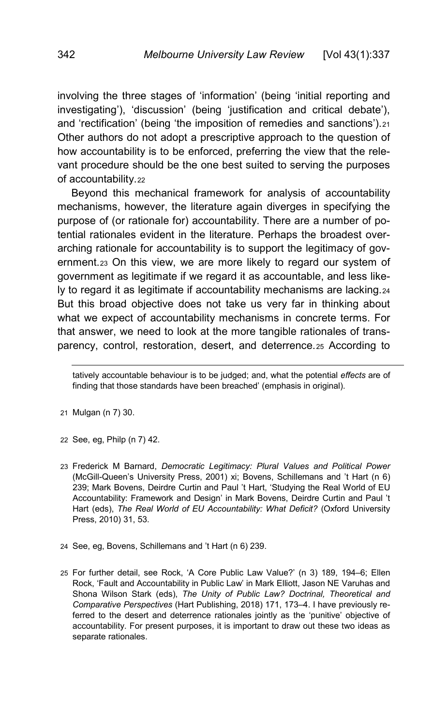involving the three stages of 'information' (being 'initial reporting and investigating'), 'discussion' (being 'justification and critical debate'), and 'rectification' (being 'the imposition of remedies and sanctions').[21](#page-5-0) Other authors do not adopt a prescriptive approach to the question of how accountability is to be enforced, preferring the view that the relevant procedure should be the one best suited to serving the purposes of accountability.[22](#page-5-1)

Beyond this mechanical framework for analysis of accountability mechanisms, however, the literature again diverges in specifying the purpose of (or rationale for) accountability. There are a number of potential rationales evident in the literature. Perhaps the broadest overarching rationale for accountability is to support the legitimacy of government.[23](#page-5-2) On this view, we are more likely to regard our system of government as legitimate if we regard it as accountable, and less likely to regard it as legitimate if accountability mechanisms are lacking.[24](#page-5-3) But this broad objective does not take us very far in thinking about what we expect of accountability mechanisms in concrete terms. For that answer, we need to look at the more tangible rationales of transparency, control, restoration, desert, and deterrence.[25](#page-5-4) According to

j tatively accountable behaviour is to be judged; and, what the potential *effects* are of finding that those standards have been breached' (emphasis in original).

- <span id="page-5-0"></span>21 Mulgan (n [7\)](#page-2-7) 30.
- <span id="page-5-1"></span>22 See, eg, Philp ([n 7\)](#page-2-7) 42.
- <span id="page-5-2"></span>23 Frederick M Barnard, *Democratic Legitimacy: Plural Values and Political Power* (McGill-Queen's University Press, 2001) xi; Bovens, Schillemans and 't Hart (n [6\)](#page-2-8) 239; Mark Bovens, Deirdre Curtin and Paul 't Hart, 'Studying the Real World of EU Accountability: Framework and Design' in Mark Bovens, Deirdre Curtin and Paul 't Hart (eds), *The Real World of EU Accountability: What Deficit?* (Oxford University Press, 2010) 31, 53.
- <span id="page-5-3"></span>24 See, eg, Bovens, Schillemans and 't Hart (n [6\)](#page-2-8) 239.
- <span id="page-5-4"></span>25 For further detail, see Rock, 'A Core Public Law Value?' (n [3\)](#page-2-9) 189, 194–6; Ellen Rock, 'Fault and Accountability in Public Law' in Mark Elliott, Jason NE Varuhas and Shona Wilson Stark (eds), *The Unity of Public Law? Doctrinal, Theoretical and Comparative Perspectives* (Hart Publishing, 2018) 171, 173–4. I have previously referred to the desert and deterrence rationales jointly as the 'punitive' objective of accountability. For present purposes, it is important to draw out these two ideas as separate rationales.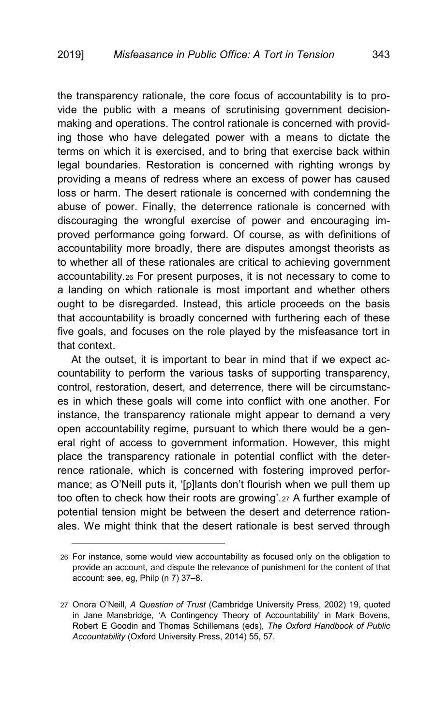the transparency rationale, the core focus of accountability is to provide the public with a means of scrutinising government decisionmaking and operations. The control rationale is concerned with providing those who have delegated power with a means to dictate the terms on which it is exercised, and to bring that exercise back within legal boundaries. Restoration is concerned with righting wrongs by providing a means of redress where an excess of power has caused loss or harm. The desert rationale is concerned with condemning the abuse of power. Finally, the deterrence rationale is concerned with discouraging the wrongful exercise of power and encouraging improved performance going forward. Of course, as with definitions of accountability more broadly, there are disputes amongst theorists as to whether all of these rationales are critical to achieving government accountability.[26](#page-6-0) For present purposes, it is not necessary to come to a landing on which rationale is most important and whether others ought to be disregarded. Instead, this article proceeds on the basis that accountability is broadly concerned with furthering each of these five goals, and focuses on the role played by the misfeasance tort in that context.

At the outset, it is important to bear in mind that if we expect accountability to perform the various tasks of supporting transparency, control, restoration, desert, and deterrence, there will be circumstances in which these goals will come into conflict with one another. For instance, the transparency rationale might appear to demand a very open accountability regime, pursuant to which there would be a general right of access to government information. However, this might place the transparency rationale in potential conflict with the deterrence rationale, which is concerned with fostering improved performance; as O'Neill puts it, '[p]lants don't flourish when we pull them up too often to check how their roots are growing'.[27](#page-6-1) A further example of potential tension might be between the desert and deterrence rationales. We might think that the desert rationale is best served through

<span id="page-6-0"></span><sup>26</sup> For instance, some would view accountability as focused only on the obligation to provide an account, and dispute the relevance of punishment for the content of that account: see, eg, Philp ([n 7\)](#page-2-7) 37–8.

<span id="page-6-1"></span><sup>27</sup> Onora O'Neill, *A Question of Trust* (Cambridge University Press, 2002) 19, quoted in Jane Mansbridge, 'A Contingency Theory of Accountability' in Mark Bovens, Robert E Goodin and Thomas Schillemans (eds), *The Oxford Handbook of Public Accountability* (Oxford University Press, 2014) 55, 57.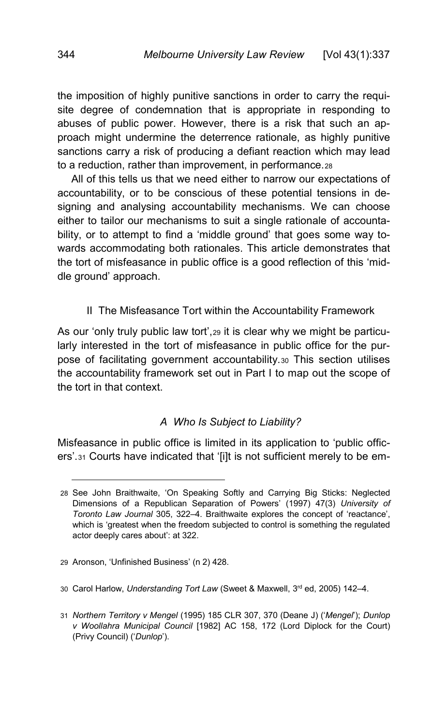the imposition of highly punitive sanctions in order to carry the requisite degree of condemnation that is appropriate in responding to abuses of public power. However, there is a risk that such an approach might undermine the deterrence rationale, as highly punitive sanctions carry a risk of producing a defiant reaction which may lead to a reduction, rather than improvement, in performance.[28](#page-7-2)

<span id="page-7-7"></span>All of this tells us that we need either to narrow our expectations of accountability, or to be conscious of these potential tensions in designing and analysing accountability mechanisms. We can choose either to tailor our mechanisms to suit a single rationale of accountability, or to attempt to find a 'middle ground' that goes some way towards accommodating both rationales. This article demonstrates that the tort of misfeasance in public office is a good reflection of this 'middle ground' approach.

<span id="page-7-0"></span>II The Misfeasance Tort within the Accountability Framework

As our 'only truly public law tort',[29](#page-7-3) it is clear why we might be particularly interested in the tort of misfeasance in public office for the purpose of facilitating government accountability.[30](#page-7-4) This section utilises the accountability framework set out in Part I to map out the scope of the tort in that context.

## *A Who Is Subject to Liability?*

<span id="page-7-6"></span><span id="page-7-1"></span>Misfeasance in public office is limited in its application to 'public officers'.[31](#page-7-5) Courts have indicated that '[i]t is not sufficient merely to be em-

-

<span id="page-7-4"></span>30 Carol Harlow, *Understanding Tort Law* (Sweet & Maxwell, 3rd ed, 2005) 142–4.

<span id="page-7-2"></span><sup>28</sup> See John Braithwaite, 'On Speaking Softly and Carrying Big Sticks: Neglected Dimensions of a Republican Separation of Powers' (1997) 47(3) *University of Toronto Law Journal* 305, 322–4. Braithwaite explores the concept of 'reactance', which is 'greatest when the freedom subjected to control is something the regulated actor deeply cares about': at 322.

<span id="page-7-3"></span><sup>29</sup> Aronson, 'Unfinished Business' (n [2\)](#page-1-2) 428.

<span id="page-7-5"></span><sup>31</sup> *Northern Territory v Mengel* (1995) 185 CLR 307, 370 (Deane J) ('*Mengel*'); *Dunlop v Woollahra Municipal Council* [1982] AC 158, 172 (Lord Diplock for the Court) (Privy Council) ('*Dunlop*').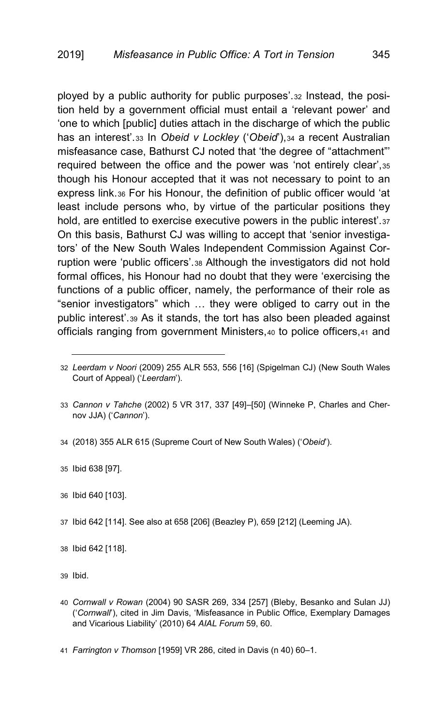<span id="page-8-14"></span><span id="page-8-13"></span><span id="page-8-12"></span><span id="page-8-11"></span>ployed by a public authority for public purposes'.[32](#page-8-1) Instead, the position held by a government official must entail a 'relevant power' and 'one to which [public] duties attach in the discharge of which the public has an interest'.[33](#page-8-2) In *Obeid v Lockley* ('*Obeid*'),[34](#page-8-3) a recent Australian misfeasance case, Bathurst CJ noted that 'the degree of "attachment"' required between the office and the power was 'not entirely clear',[35](#page-8-4) though his Honour accepted that it was not necessary to point to an express link.[36](#page-8-5) For his Honour, the definition of public officer would 'at least include persons who, by virtue of the particular positions they hold, are entitled to exercise executive powers in the public interest'.[37](#page-8-6) On this basis, Bathurst CJ was willing to accept that 'senior investigators' of the New South Wales Independent Commission Against Corruption were 'public officers'.[38](#page-8-7) Although the investigators did not hold formal offices, his Honour had no doubt that they were 'exercising the functions of a public officer, namely, the performance of their role as "senior investigators" which … they were obliged to carry out in the public interest'.[39](#page-8-8) As it stands, the tort has also been pleaded against officials ranging from government Ministers,[40](#page-8-9) to police officers,[41](#page-8-10) and

- <span id="page-8-3"></span>34 (2018) 355 ALR 615 (Supreme Court of New South Wales) ('*Obeid*').
- <span id="page-8-4"></span>35 Ibid 638 [97].

- <span id="page-8-5"></span>36 Ibid 640 [103].
- <span id="page-8-6"></span>37 Ibid 642 [114]. See also at 658 [206] (Beazley P), 659 [212] (Leeming JA).
- <span id="page-8-7"></span>38 Ibid 642 [118].
- <span id="page-8-8"></span>39 Ibid.
- <span id="page-8-9"></span>40 *Cornwall v Rowan* (2004) 90 SASR 269, 334 [257] (Bleby, Besanko and Sulan JJ) ('*Cornwall*'), cited in Jim Davis, 'Misfeasance in Public Office, Exemplary Damages and Vicarious Liability' (2010) 64 *AIAL Forum* 59, 60.
- <span id="page-8-10"></span>41 *Farrington v Thomson* [1959] VR 286, cited in Davis ([n 40\)](#page-8-0) 60–1.

<span id="page-8-1"></span><span id="page-8-0"></span><sup>32</sup> *Leerdam v Noori* (2009) 255 ALR 553, 556 [16] (Spigelman CJ) (New South Wales Court of Appeal) ('*Leerdam*').

<span id="page-8-2"></span><sup>33</sup> *Cannon v Tahche* (2002) 5 VR 317, 337 [49]–[50] (Winneke P, Charles and Chernov JJA) ('*Cannon*').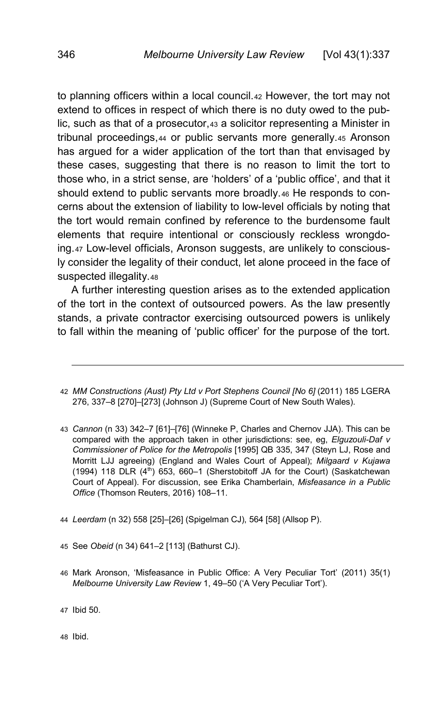<span id="page-9-8"></span><span id="page-9-7"></span>to planning officers within a local council.[42](#page-9-0) However, the tort may not extend to offices in respect of which there is no duty owed to the public, such as that of a prosecutor,[43](#page-9-1) a solicitor representing a Minister in tribunal proceedings,[44](#page-9-2) or public servants more generally.[45](#page-9-3) Aronson has argued for a wider application of the tort than that envisaged by these cases, suggesting that there is no reason to limit the tort to those who, in a strict sense, are 'holders' of a 'public office', and that it should extend to public servants more broadly.<sub>[46](#page-9-4)</sub> He responds to concerns about the extension of liability to low-level officials by noting that the tort would remain confined by reference to the burdensome fault elements that require intentional or consciously reckless wrongdoing.[47](#page-9-5) Low-level officials, Aronson suggests, are unlikely to consciously consider the legality of their conduct, let alone proceed in the face of suspected illegality.[48](#page-9-6)

A further interesting question arises as to the extended application of the tort in the context of outsourced powers. As the law presently stands, a private contractor exercising outsourced powers is unlikely to fall within the meaning of 'public officer' for the purpose of the tort.

- <span id="page-9-3"></span>45 See *Obeid* ([n 34\)](#page-8-13) 641–2 [113] (Bathurst CJ).
- <span id="page-9-4"></span>46 Mark Aronson, 'Misfeasance in Public Office: A Very Peculiar Tort' (2011) 35(1) *Melbourne University Law Review* 1, 49–50 ('A Very Peculiar Tort').
- <span id="page-9-5"></span>47 Ibid 50.

<span id="page-9-6"></span>48 Ibid.

<span id="page-9-0"></span><sup>42</sup> *MM Constructions (Aust) Pty Ltd v Port Stephens Council [No 6]* (2011) 185 LGERA 276, 337–8 [270]–[273] (Johnson J) (Supreme Court of New South Wales).

<span id="page-9-1"></span><sup>43</sup> *Cannon* (n [33\)](#page-8-11) 342–7 [61]–[76] (Winneke P, Charles and Chernov JJA). This can be compared with the approach taken in other jurisdictions: see, eg, *Elguzouli-Daf v Commissioner of Police for the Metropolis* [1995] QB 335, 347 (Steyn LJ, Rose and Morritt LJJ agreeing) (England and Wales Court of Appeal); *Milgaard v Kujawa*  $(1994)$  118 DLR  $(4<sup>th</sup>)$  653, 660-1 (Sherstobitoff JA for the Court) (Saskatchewan Court of Appeal). For discussion, see Erika Chamberlain, *Misfeasance in a Public Office* (Thomson Reuters, 2016) 108–11.

<span id="page-9-2"></span><sup>44</sup> *Leerdam* (n [32\)](#page-8-12) 558 [25]–[26] (Spigelman CJ), 564 [58] (Allsop P).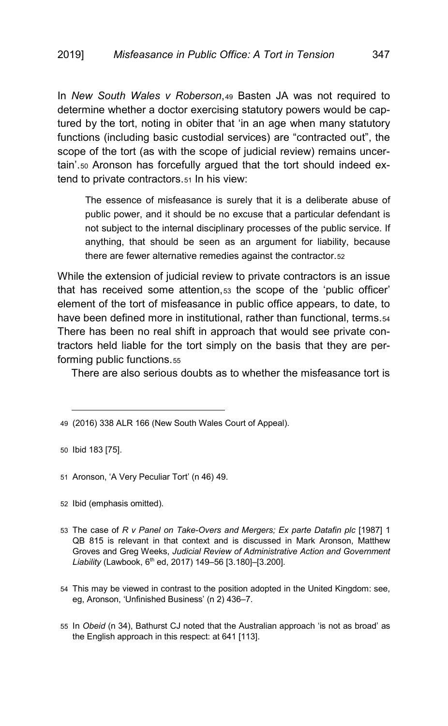In *New South Wales v Roberson*,[49](#page-10-0) Basten JA was not required to determine whether a doctor exercising statutory powers would be captured by the tort, noting in obiter that 'in an age when many statutory functions (including basic custodial services) are "contracted out", the scope of the tort (as with the scope of judicial review) remains uncertain'.[50](#page-10-1) Aronson has forcefully argued that the tort should indeed extend to private contractors.[51](#page-10-2) In his view:

<span id="page-10-7"></span>The essence of misfeasance is surely that it is a deliberate abuse of public power, and it should be no excuse that a particular defendant is not subject to the internal disciplinary processes of the public service. If anything, that should be seen as an argument for liability, because there are fewer alternative remedies against the contractor.[52](#page-10-3)

While the extension of judicial review to private contractors is an issue that has received some attention,[53](#page-10-4) the scope of the 'public officer' element of the tort of misfeasance in public office appears, to date, to have been defined more in institutional, rather than functional, terms.[54](#page-10-5) There has been no real shift in approach that would see private contractors held liable for the tort simply on the basis that they are performing public functions.[55](#page-10-6)

There are also serious doubts as to whether the misfeasance tort is

<span id="page-10-1"></span>50 Ibid 183 [75].

- <span id="page-10-2"></span>51 Aronson, 'A Very Peculiar Tort' (n [46\)](#page-9-7) 49.
- <span id="page-10-3"></span>52 Ibid (emphasis omitted).
- <span id="page-10-4"></span>53 The case of *R v Panel on Take-Overs and Mergers; Ex parte Datafin plc* [1987] 1 QB 815 is relevant in that context and is discussed in Mark Aronson, Matthew Groves and Greg Weeks, *Judicial Review of Administrative Action and Government Liability* (Lawbook, 6th ed, 2017) 149–56 [3.180]–[3.200].
- <span id="page-10-5"></span>54 This may be viewed in contrast to the position adopted in the United Kingdom: see, eg, Aronson, 'Unfinished Business' ([n 2\)](#page-1-2) 436–7.
- <span id="page-10-6"></span>55 In *Obeid* (n [34\)](#page-8-13), Bathurst CJ noted that the Australian approach 'is not as broad' as the English approach in this respect: at 641 [113].

<span id="page-10-0"></span><sup>49</sup> (2016) 338 ALR 166 (New South Wales Court of Appeal).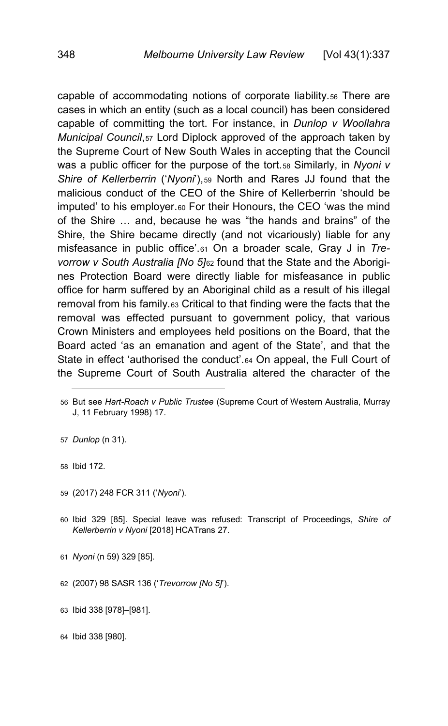<span id="page-11-0"></span>capable of accommodating notions of corporate liability.[56](#page-11-1) There are cases in which an entity (such as a local council) has been considered capable of committing the tort. For instance, in *Dunlop v Woollahra Municipal Council*,[57](#page-11-2) Lord Diplock approved of the approach taken by the Supreme Court of New South Wales in accepting that the Council was a public officer for the purpose of the tort.[58](#page-11-3) Similarly, in *Nyoni v Shire of Kellerberrin* ('*Nyoni*'),[59](#page-11-4) North and Rares JJ found that the malicious conduct of the CEO of the Shire of Kellerberrin 'should be imputed' to his employer.[60](#page-11-5) For their Honours, the CEO 'was the mind of the Shire … and, because he was "the hands and brains" of the Shire, the Shire became directly (and not vicariously) liable for any misfeasance in public office'.[61](#page-11-6) On a broader scale, Gray J in *Trevorrow v South Australia [No 5]*[62](#page-11-7) found that the State and the Aborigines Protection Board were directly liable for misfeasance in public office for harm suffered by an Aboriginal child as a result of his illegal removal from his family.[63](#page-11-8) Critical to that finding were the facts that the removal was effected pursuant to government policy, that various Crown Ministers and employees held positions on the Board, that the Board acted 'as an emanation and agent of the State', and that the State in effect 'authorised the conduct'.[64](#page-11-9) On appeal, the Full Court of the Supreme Court of South Australia altered the character of the

<span id="page-11-3"></span>58 Ibid 172.

<span id="page-11-10"></span>j

- <span id="page-11-4"></span>59 (2017) 248 FCR 311 ('*Nyoni*').
- <span id="page-11-5"></span>60 Ibid 329 [85]. Special leave was refused: Transcript of Proceedings, *Shire of Kellerberrin v Nyoni* [2018] HCATrans 27.
- <span id="page-11-6"></span>61 *Nyoni* (n [59\)](#page-11-0) 329 [85].
- <span id="page-11-7"></span>62 (2007) 98 SASR 136 ('*Trevorrow [No 5]*').
- <span id="page-11-8"></span>63 Ibid 338 [978]–[981].

<span id="page-11-9"></span>64 Ibid 338 [980].

<span id="page-11-1"></span><sup>56</sup> But see *Hart-Roach v Public Trustee* (Supreme Court of Western Australia, Murray J, 11 February 1998) 17.

<span id="page-11-2"></span><sup>57</sup> *Dunlop* (n [31\)](#page-7-6).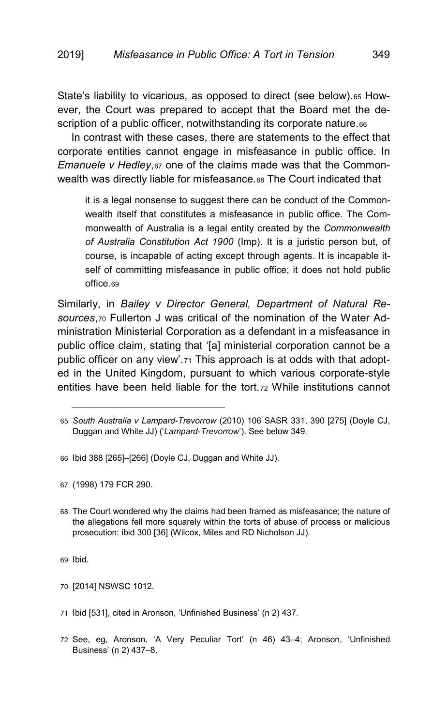State's liability to vicarious, as opposed to direct (see below).[65](#page-12-0) However, the Court was prepared to accept that the Board met the de-scription of a public officer, notwithstanding its corporate nature.[66](#page-12-1)

In contrast with these cases, there are statements to the effect that corporate entities cannot engage in misfeasance in public office. In *Emanuele v Hedley*,[67](#page-12-2) one of the claims made was that the Commonwealth was directly liable for misfeasance.[68](#page-12-3) The Court indicated that

<span id="page-12-8"></span>it is a legal nonsense to suggest there can be conduct of the Commonwealth itself that constitutes a misfeasance in public office. The Commonwealth of Australia is a legal entity created by the *Commonwealth of Australia Constitution Act 1900* (Imp). It is a juristic person but, of course, is incapable of acting except through agents. It is incapable itself of committing misfeasance in public office; it does not hold public office[.69](#page-12-4)

Similarly, in *Bailey v Director General, Department of Natural Resources*,[70](#page-12-5) Fullerton J was critical of the nomination of the Water Administration Ministerial Corporation as a defendant in a misfeasance in public office claim, stating that '[a] ministerial corporation cannot be a public officer on any view'.[71](#page-12-6) This approach is at odds with that adopted in the United Kingdom, pursuant to which various corporate-style entities have been held liable for the tort.[72](#page-12-7) While institutions cannot

<span id="page-12-1"></span>66 Ibid 388 [265]–[266] (Doyle CJ, Duggan and White JJ).

<span id="page-12-2"></span>67 (1998) 179 FCR 290.

<span id="page-12-3"></span>68 The Court wondered why the claims had been framed as misfeasance; the nature of the allegations fell more squarely within the torts of abuse of process or malicious prosecution: ibid 300 [36] (Wilcox, Miles and RD Nicholson JJ).

<span id="page-12-4"></span>69 Ibid.

- <span id="page-12-5"></span>70 [2014] NSWSC 1012.
- <span id="page-12-6"></span>71 Ibid [531], cited in Aronson, 'Unfinished Business' (n [2\)](#page-1-2) 437.
- <span id="page-12-7"></span>72 See, eg, Aronson, 'A Very Peculiar Tort' (n [46\)](#page-9-7) 43–4; Aronson, 'Unfinished Business' (n [2\)](#page-1-2) 437–8.

<span id="page-12-0"></span><sup>65</sup> *South Australia v Lampard-Trevorrow* (2010) 106 SASR 331, 390 [275] (Doyle CJ, Duggan and White JJ) ('*Lampard-Trevorrow*'). See below 349.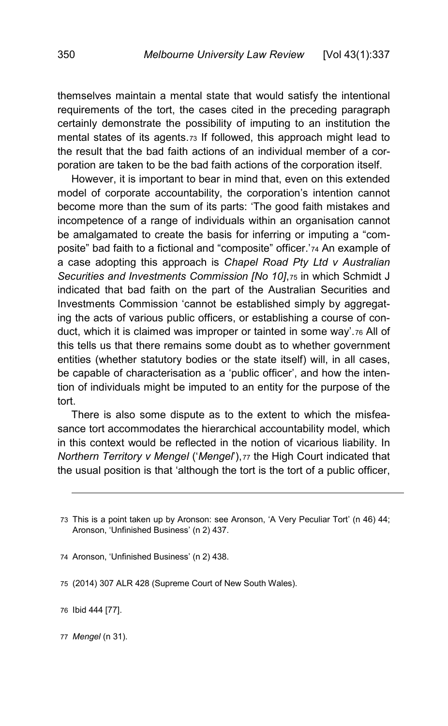themselves maintain a mental state that would satisfy the intentional requirements of the tort, the cases cited in the preceding paragraph certainly demonstrate the possibility of imputing to an institution the mental states of its agents.[73](#page-13-0) If followed, this approach might lead to the result that the bad faith actions of an individual member of a corporation are taken to be the bad faith actions of the corporation itself.

However, it is important to bear in mind that, even on this extended model of corporate accountability, the corporation's intention cannot become more than the sum of its parts: 'The good faith mistakes and incompetence of a range of individuals within an organisation cannot be amalgamated to create the basis for inferring or imputing a "composite" bad faith to a fictional and "composite" officer.'[74](#page-13-1) An example of a case adopting this approach is *Chapel Road Pty Ltd v Australian Securities and Investments Commission [No 10]*,[75](#page-13-2) in which Schmidt J indicated that bad faith on the part of the Australian Securities and Investments Commission 'cannot be established simply by aggregating the acts of various public officers, or establishing a course of conduct, which it is claimed was improper or tainted in some way'.[76](#page-13-3) All of this tells us that there remains some doubt as to whether government entities (whether statutory bodies or the state itself) will, in all cases, be capable of characterisation as a 'public officer', and how the intention of individuals might be imputed to an entity for the purpose of the tort.

There is also some dispute as to the extent to which the misfeasance tort accommodates the hierarchical accountability model, which in this context would be reflected in the notion of vicarious liability. In *Northern Territory v Mengel ('Mengel'), [77](#page-13-4) the High Court indicated that* the usual position is that 'although the tort is the tort of a public officer,

<span id="page-13-3"></span>76 Ibid 444 [77].

<span id="page-13-0"></span><sup>73</sup> This is a point taken up by Aronson: see Aronson, 'A Very Peculiar Tort' (n [46\)](#page-9-7) 44; Aronson, 'Unfinished Business' (n [2\)](#page-1-2) 437.

<span id="page-13-1"></span><sup>74</sup> Aronson, 'Unfinished Business' (n [2\)](#page-1-2) 438.

<span id="page-13-2"></span><sup>75</sup> (2014) 307 ALR 428 (Supreme Court of New South Wales).

<span id="page-13-4"></span><sup>77</sup> *Mengel* (n [31\)](#page-7-6).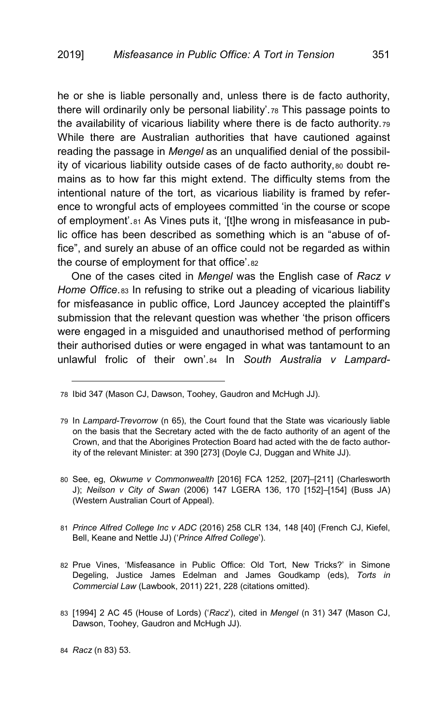he or she is liable personally and, unless there is de facto authority, there will ordinarily only be personal liability'.[78](#page-14-1) This passage points to the availability of vicarious liability where there is de facto authority.[79](#page-14-2) While there are Australian authorities that have cautioned against reading the passage in *Mengel* as an unqualified denial of the possibil-ity of vicarious liability outside cases of de facto authority, [80](#page-14-3) doubt remains as to how far this might extend. The difficulty stems from the intentional nature of the tort, as vicarious liability is framed by reference to wrongful acts of employees committed 'in the course or scope of employment'.[81](#page-14-4) As Vines puts it, '[t]he wrong in misfeasance in public office has been described as something which is an "abuse of office", and surely an abuse of an office could not be regarded as within the course of employment for that office'.[82](#page-14-5)

<span id="page-14-9"></span><span id="page-14-8"></span><span id="page-14-0"></span>One of the cases cited in *Mengel* was the English case of *Racz v Home Office*.[83](#page-14-6) In refusing to strike out a pleading of vicarious liability for misfeasance in public office, Lord Jauncey accepted the plaintiff's submission that the relevant question was whether 'the prison officers were engaged in a misguided and unauthorised method of performing their authorised duties or were engaged in what was tantamount to an unlawful frolic of their own'.[84](#page-14-7) In *South Australia v Lampard-*

- <span id="page-14-4"></span>81 *Prince Alfred College Inc v ADC* (2016) 258 CLR 134, 148 [40] (French CJ, Kiefel, Bell, Keane and Nettle JJ) ('*Prince Alfred College*').
- <span id="page-14-5"></span>82 Prue Vines, 'Misfeasance in Public Office: Old Tort, New Tricks?' in Simone Degeling, Justice James Edelman and James Goudkamp (eds), *Torts in Commercial Law* (Lawbook, 2011) 221, 228 (citations omitted).
- <span id="page-14-6"></span>83 [1994] 2 AC 45 (House of Lords) ('*Racz*'), cited in *Mengel* (n [31\)](#page-7-6) 347 (Mason CJ, Dawson, Toohey, Gaudron and McHugh JJ).

<span id="page-14-1"></span><sup>78</sup> Ibid 347 (Mason CJ, Dawson, Toohey, Gaudron and McHugh JJ).

<span id="page-14-2"></span><sup>79</sup> In *Lampard-Trevorrow* (n [65\)](#page-12-8), the Court found that the State was vicariously liable on the basis that the Secretary acted with the de facto authority of an agent of the Crown, and that the Aborigines Protection Board had acted with the de facto authority of the relevant Minister: at 390 [273] (Doyle CJ, Duggan and White JJ).

<span id="page-14-3"></span><sup>80</sup> See, eg, *Okwume v Commonwealth* [2016] FCA 1252, [207]–[211] (Charlesworth J); *Neilson v City of Swan* (2006) 147 LGERA 136, 170 [152]–[154] (Buss JA) (Western Australian Court of Appeal).

<span id="page-14-7"></span><sup>84</sup> *Racz* (n [83\)](#page-14-0) 53.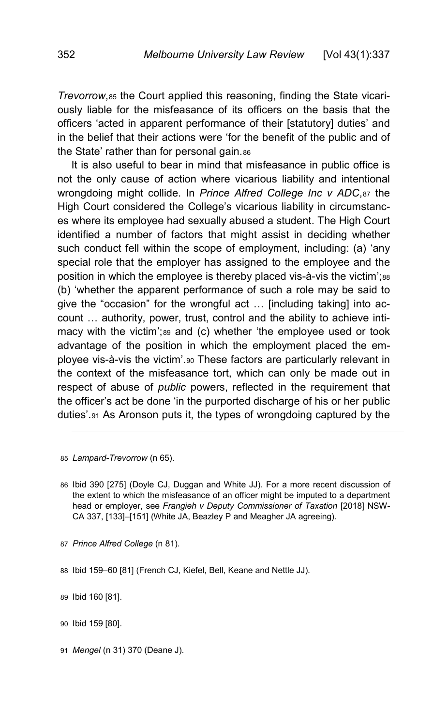*Trevorrow*,[85](#page-15-0) the Court applied this reasoning, finding the State vicariously liable for the misfeasance of its officers on the basis that the officers 'acted in apparent performance of their [statutory] duties' and in the belief that their actions were 'for the benefit of the public and of the State' rather than for personal gain.[86](#page-15-1)

It is also useful to bear in mind that misfeasance in public office is not the only cause of action where vicarious liability and intentional wrongdoing might collide. In *Prince Alfred College Inc v ADC*,[87](#page-15-2) the High Court considered the College's vicarious liability in circumstances where its employee had sexually abused a student. The High Court identified a number of factors that might assist in deciding whether such conduct fell within the scope of employment, including: (a) 'any special role that the employer has assigned to the employee and the position in which the employee is thereby placed vis-à-vis the victim';[88](#page-15-3) (b) 'whether the apparent performance of such a role may be said to give the "occasion" for the wrongful act … [including taking] into account … authority, power, trust, control and the ability to achieve inti-macy with the victim';[89](#page-15-4) and (c) whether 'the employee used or took advantage of the position in which the employment placed the employee vis-à-vis the victim'.[90](#page-15-5) These factors are particularly relevant in the context of the misfeasance tort, which can only be made out in respect of abuse of *public* powers, reflected in the requirement that the officer's act be done 'in the purported discharge of his or her public duties'.[91](#page-15-6) As Aronson puts it, the types of wrongdoing captured by the

<span id="page-15-0"></span>85 *Lampard-Trevorrow* (n [65\)](#page-12-8).

-

<span id="page-15-1"></span>86 Ibid 390 [275] (Doyle CJ, Duggan and White JJ). For a more recent discussion of the extent to which the misfeasance of an officer might be imputed to a department head or employer, see *Frangieh v Deputy Commissioner of Taxation* [2018] NSW-CA 337, [133]–[151] (White JA, Beazley P and Meagher JA agreeing).

<span id="page-15-2"></span>87 *Prince Alfred College* (n [81\)](#page-14-8).

<span id="page-15-4"></span>89 Ibid 160 [81].

<span id="page-15-5"></span>90 Ibid 159 [80].

<span id="page-15-6"></span>91 *Mengel* (n [31\)](#page-7-6) 370 (Deane J).

<span id="page-15-3"></span><sup>88</sup> Ibid 159–60 [81] (French CJ, Kiefel, Bell, Keane and Nettle JJ).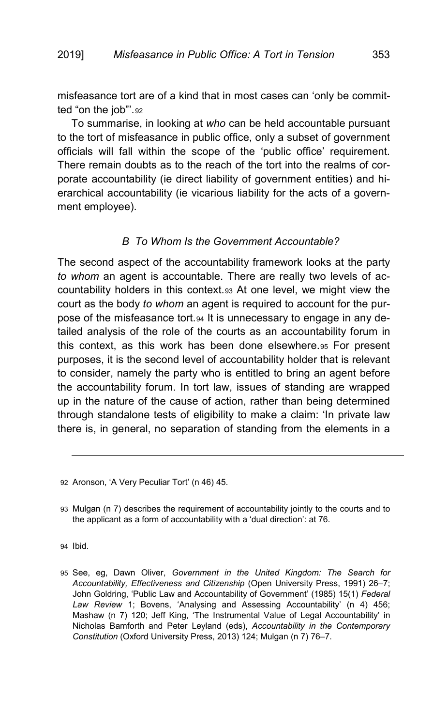misfeasance tort are of a kind that in most cases can 'only be committed "on the job"'.[92](#page-16-1)

To summarise, in looking at *who* can be held accountable pursuant to the tort of misfeasance in public office, only a subset of government officials will fall within the scope of the 'public office' requirement. There remain doubts as to the reach of the tort into the realms of corporate accountability (ie direct liability of government entities) and hierarchical accountability (ie vicarious liability for the acts of a government employee).

## <span id="page-16-5"></span>*B To Whom Is the Government Accountable?*

<span id="page-16-0"></span>The second aspect of the accountability framework looks at the party *to whom* an agent is accountable. There are really two levels of accountability holders in this context.[93](#page-16-2) At one level, we might view the court as the body *to whom* an agent is required to account for the purpose of the misfeasance tort.[94](#page-16-3) It is unnecessary to engage in any detailed analysis of the role of the courts as an accountability forum in this context, as this work has been done elsewhere.[95](#page-16-4) For present purposes, it is the second level of accountability holder that is relevant to consider, namely the party who is entitled to bring an agent before the accountability forum. In tort law, issues of standing are wrapped up in the nature of the cause of action, rather than being determined through standalone tests of eligibility to make a claim: 'In private law there is, in general, no separation of standing from the elements in a

<span id="page-16-3"></span>94 Ibid.

<span id="page-16-1"></span><sup>92</sup> Aronson, 'A Very Peculiar Tort' (n [46\)](#page-9-7) 45.

<span id="page-16-2"></span><sup>93</sup> Mulgan (n [7\)](#page-2-7) describes the requirement of accountability jointly to the courts and to the applicant as a form of accountability with a 'dual direction': at 76.

<span id="page-16-4"></span><sup>95</sup> See, eg, Dawn Oliver, *Government in the United Kingdom: The Search for Accountability, Effectiveness and Citizenship* (Open University Press, 1991) 26–7; John Goldring, 'Public Law and Accountability of Government' (1985) 15(1) *Federal Law Review* 1; Bovens, 'Analysing and Assessing Accountability' (n [4\)](#page-2-1) 456; Mashaw (n [7\)](#page-2-7) 120; Jeff King, 'The Instrumental Value of Legal Accountability' in Nicholas Bamforth and Peter Leyland (eds), *Accountability in the Contemporary Constitution* (Oxford University Press, 2013) 124; Mulgan (n [7\)](#page-2-7) 76–7.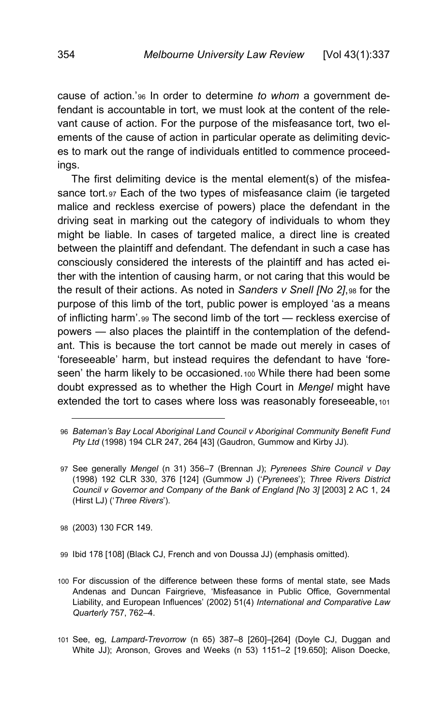cause of action.'[96](#page-17-0) In order to determine *to whom* a government defendant is accountable in tort, we must look at the content of the relevant cause of action. For the purpose of the misfeasance tort, two elements of the cause of action in particular operate as delimiting devices to mark out the range of individuals entitled to commence proceedings.

<span id="page-17-6"></span>The first delimiting device is the mental element(s) of the misfea-sance tort.[97](#page-17-1) Each of the two types of misfeasance claim (ie targeted malice and reckless exercise of powers) place the defendant in the driving seat in marking out the category of individuals to whom they might be liable. In cases of targeted malice, a direct line is created between the plaintiff and defendant. The defendant in such a case has consciously considered the interests of the plaintiff and has acted either with the intention of causing harm, or not caring that this would be the result of their actions. As noted in *Sanders v Snell [No 2]*,[98](#page-17-2) for the purpose of this limb of the tort, public power is employed 'as a means of inflicting harm'.[99](#page-17-3) The second limb of the tort — reckless exercise of powers — also places the plaintiff in the contemplation of the defendant. This is because the tort cannot be made out merely in cases of 'foreseeable' harm, but instead requires the defendant to have 'fore-seen' the harm likely to be occasioned.[100](#page-17-4) While there had been some doubt expressed as to whether the High Court in *Mengel* might have extended the tort to cases where loss was reasonably foreseeable, [101](#page-17-5)

<span id="page-17-2"></span>98 (2003) 130 FCR 149.

- <span id="page-17-3"></span>99 Ibid 178 [108] (Black CJ, French and von Doussa JJ) (emphasis omitted).
- <span id="page-17-4"></span>100 For discussion of the difference between these forms of mental state, see Mads Andenas and Duncan Fairgrieve, 'Misfeasance in Public Office, Governmental Liability, and European Influences' (2002) 51(4) *International and Comparative Law Quarterly* 757, 762–4.
- <span id="page-17-5"></span>101 See, eg, *Lampard-Trevorrow* (n [65\)](#page-12-8) 387–8 [260]–[264] (Doyle CJ, Duggan and White JJ); Aronson, Groves and Weeks (n [53\)](#page-10-7) 1151–2 [19.650]; Alison Doecke,

<span id="page-17-0"></span><sup>96</sup> *Bateman's Bay Local Aboriginal Land Council v Aboriginal Community Benefit Fund Pty Ltd* (1998) 194 CLR 247, 264 [43] (Gaudron, Gummow and Kirby JJ).

<span id="page-17-1"></span><sup>97</sup> See generally *Mengel* (n [31\)](#page-7-6) 356–7 (Brennan J); *Pyrenees Shire Council v Day*  (1998) 192 CLR 330, 376 [124] (Gummow J) ('*Pyrenees*'); *Three Rivers District Council v Governor and Company of the Bank of England [No 3]* [2003] 2 AC 1, 24 (Hirst LJ) ('*Three Rivers*').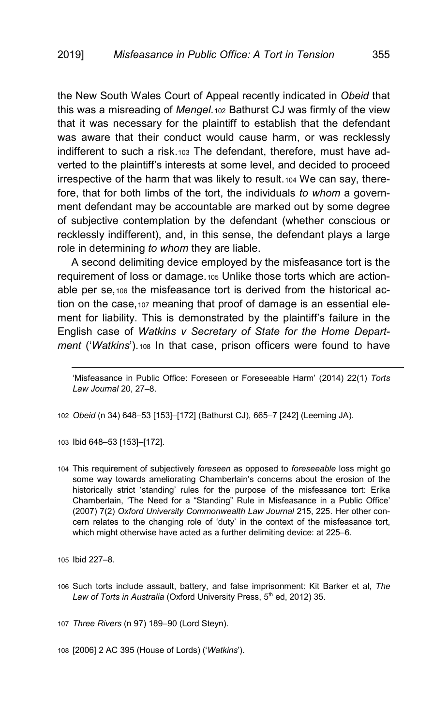the New South Wales Court of Appeal recently indicated in *Obeid* that this was a misreading of *Mengel*.[102](#page-18-0) Bathurst CJ was firmly of the view that it was necessary for the plaintiff to establish that the defendant was aware that their conduct would cause harm, or was recklessly indifferent to such a risk.[103](#page-18-1) The defendant, therefore, must have adverted to the plaintiff's interests at some level, and decided to proceed irrespective of the harm that was likely to result.[104](#page-18-2) We can say, therefore, that for both limbs of the tort, the individuals *to whom* a government defendant may be accountable are marked out by some degree of subjective contemplation by the defendant (whether conscious or recklessly indifferent), and, in this sense, the defendant plays a large role in determining *to whom* they are liable.

<span id="page-18-7"></span>A second delimiting device employed by the misfeasance tort is the requirement of loss or damage.[105](#page-18-3) Unlike those torts which are actionable per se,[106](#page-18-4) the misfeasance tort is derived from the historical ac-tion on the case, [107](#page-18-5) meaning that proof of damage is an essential element for liability. This is demonstrated by the plaintiff's failure in the English case of *Watkins v Secretary of State for the Home Department* ('*Watkins*').[108](#page-18-6) In that case, prison officers were found to have

<span id="page-18-0"></span>102 *Obeid* (n [34\)](#page-8-13) 648–53 [153]–[172] (Bathurst CJ), 665–7 [242] (Leeming JA).

<span id="page-18-1"></span>103 Ibid 648–53 [153]–[172].

<span id="page-18-2"></span>104 This requirement of subjectively *foreseen* as opposed to *foreseeable* loss might go some way towards ameliorating Chamberlain's concerns about the erosion of the historically strict 'standing' rules for the purpose of the misfeasance tort: Erika Chamberlain, 'The Need for a "Standing" Rule in Misfeasance in a Public Office' (2007) 7(2) *Oxford University Commonwealth Law Journal* 215, 225. Her other concern relates to the changing role of 'duty' in the context of the misfeasance tort, which might otherwise have acted as a further delimiting device: at 225–6.

<span id="page-18-3"></span>105 Ibid 227–8.

<span id="page-18-8"></span>-

<span id="page-18-4"></span>106 Such torts include assault, battery, and false imprisonment: Kit Barker et al, *The*  Law of Torts in Australia (Oxford University Press, 5<sup>th</sup> ed, 2012) 35.

<span id="page-18-5"></span>107 *Three Rivers* ([n 97\)](#page-17-6) 189–90 (Lord Steyn).

<span id="page-18-6"></span>108 [2006] 2 AC 395 (House of Lords) ('*Watkins*').

<sup>&#</sup>x27;Misfeasance in Public Office: Foreseen or Foreseeable Harm' (2014) 22(1) *Torts Law Journal* 20, 27–8.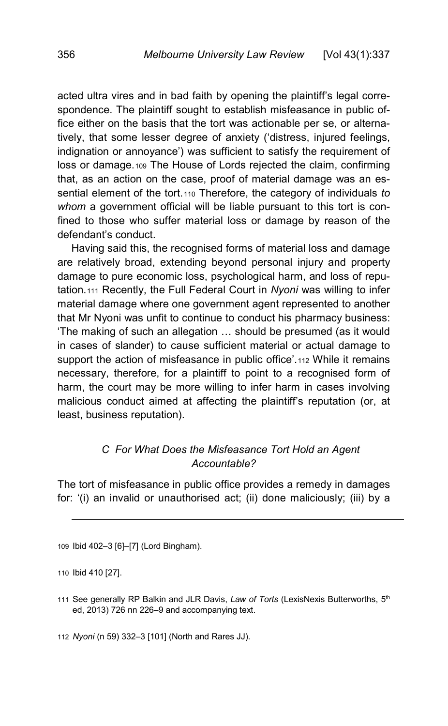acted ultra vires and in bad faith by opening the plaintiff's legal correspondence. The plaintiff sought to establish misfeasance in public office either on the basis that the tort was actionable per se, or alternatively, that some lesser degree of anxiety ('distress, injured feelings, indignation or annoyance') was sufficient to satisfy the requirement of loss or damage.[109](#page-19-1) The House of Lords rejected the claim, confirming that, as an action on the case, proof of material damage was an essential element of the tort.[110](#page-19-2) Therefore, the category of individuals *to whom* a government official will be liable pursuant to this tort is confined to those who suffer material loss or damage by reason of the defendant's conduct.

Having said this, the recognised forms of material loss and damage are relatively broad, extending beyond personal injury and property damage to pure economic loss, psychological harm, and loss of reputation.[111](#page-19-3) Recently, the Full Federal Court in *Nyoni* was willing to infer material damage where one government agent represented to another that Mr Nyoni was unfit to continue to conduct his pharmacy business: 'The making of such an allegation … should be presumed (as it would in cases of slander) to cause sufficient material or actual damage to support the action of misfeasance in public office'.<sub>[112](#page-19-4)</sub> While it remains necessary, therefore, for a plaintiff to point to a recognised form of harm, the court may be more willing to infer harm in cases involving malicious conduct aimed at affecting the plaintiff's reputation (or, at least, business reputation).

# <span id="page-19-0"></span>*C For What Does the Misfeasance Tort Hold an Agent Accountable?*

The tort of misfeasance in public office provides a remedy in damages for: '(i) an invalid or unauthorised act; (ii) done maliciously; (iii) by a

-

<span id="page-19-4"></span>112 *Nyoni* (n [59\)](#page-11-0) 332–3 [101] (North and Rares JJ).

<span id="page-19-1"></span><sup>109</sup> Ibid 402–3 [6]–[7] (Lord Bingham).

<span id="page-19-2"></span><sup>110</sup> Ibid 410 [27].

<span id="page-19-3"></span><sup>111</sup> See generally RP Balkin and JLR Davis, *Law of Torts* (LexisNexis Butterworths, 5th ed, 2013) 726 nn 226–9 and accompanying text.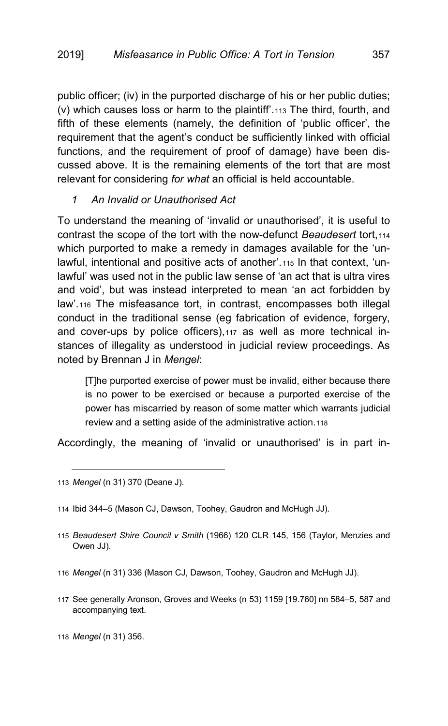public officer; (iv) in the purported discharge of his or her public duties; (v) which causes loss or harm to the plaintiff'.[113](#page-20-1) The third, fourth, and fifth of these elements (namely, the definition of 'public officer', the requirement that the agent's conduct be sufficiently linked with official functions, and the requirement of proof of damage) have been discussed above. It is the remaining elements of the tort that are most relevant for considering *for what* an official is held accountable.

### <span id="page-20-0"></span>*1 An Invalid or Unauthorised Act*

To understand the meaning of 'invalid or unauthorised', it is useful to contrast the scope of the tort with the now-defunct *Beaudesert* tort, [114](#page-20-2) which purported to make a remedy in damages available for the 'unlawful, intentional and positive acts of another'.[115](#page-20-3) In that context, 'unlawful' was used not in the public law sense of 'an act that is ultra vires and void', but was instead interpreted to mean 'an act forbidden by law'.[116](#page-20-4) The misfeasance tort, in contrast, encompasses both illegal conduct in the traditional sense (eg fabrication of evidence, forgery, and cover-ups by police officers), [117](#page-20-5) as well as more technical instances of illegality as understood in judicial review proceedings. As noted by Brennan J in *Mengel*:

[T]he purported exercise of power must be invalid, either because there is no power to be exercised or because a purported exercise of the power has miscarried by reason of some matter which warrants judicial review and a setting aside of the administrative action.[118](#page-20-6)

Accordingly, the meaning of 'invalid or unauthorised' is in part in-

<span id="page-20-1"></span>113 *Mengel* (n [31\)](#page-7-6) 370 (Deane J).

-

<span id="page-20-2"></span>114 Ibid 344–5 (Mason CJ, Dawson, Toohey, Gaudron and McHugh JJ).

- <span id="page-20-3"></span>115 *Beaudesert Shire Council v Smith* (1966) 120 CLR 145, 156 (Taylor, Menzies and Owen JJ).
- <span id="page-20-4"></span>116 *Mengel* (n [31\)](#page-7-6) 336 (Mason CJ, Dawson, Toohey, Gaudron and McHugh JJ).
- <span id="page-20-5"></span>117 See generally Aronson, Groves and Weeks ([n 53\)](#page-10-7) 1159 [19.760] nn 584–5, 587 and accompanying text.

<span id="page-20-6"></span><sup>118</sup> *Mengel* (n [31\)](#page-7-6) 356.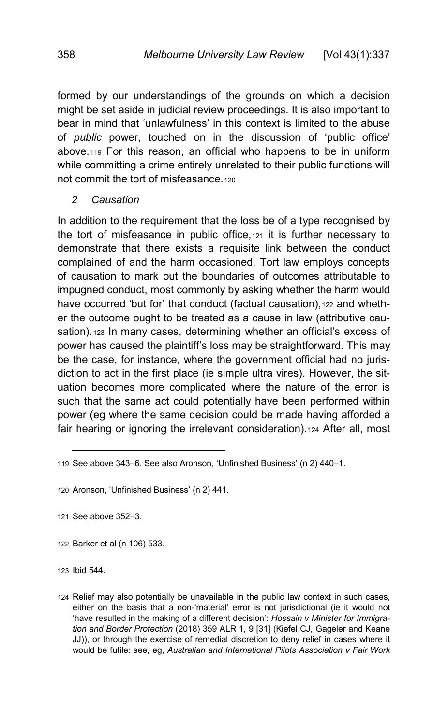formed by our understandings of the grounds on which a decision might be set aside in judicial review proceedings. It is also important to bear in mind that 'unlawfulness' in this context is limited to the abuse of *public* power, touched on in the discussion of 'public office' above.[119](#page-21-1) For this reason, an official who happens to be in uniform while committing a crime entirely unrelated to their public functions will not commit the tort of misfeasance.[120](#page-21-2)

### <span id="page-21-0"></span>*2 Causation*

In addition to the requirement that the loss be of a type recognised by the tort of misfeasance in public office,[121](#page-21-3) it is further necessary to demonstrate that there exists a requisite link between the conduct complained of and the harm occasioned. Tort law employs concepts of causation to mark out the boundaries of outcomes attributable to impugned conduct, most commonly by asking whether the harm would have occurred 'but for' that conduct (factual causation), [122](#page-21-4) and whether the outcome ought to be treated as a cause in law (attributive cau-sation).<sup>[123](#page-21-5)</sup> In many cases, determining whether an official's excess of power has caused the plaintiff's loss may be straightforward. This may be the case, for instance, where the government official had no jurisdiction to act in the first place (ie simple ultra vires). However, the situation becomes more complicated where the nature of the error is such that the same act could potentially have been performed within power (eg where the same decision could be made having afforded a fair hearing or ignoring the irrelevant consideration). [124](#page-21-6) After all, most

<span id="page-21-4"></span>122 Barker et al ([n 106\)](#page-18-7) 533.

<span id="page-21-5"></span>123 Ibid 544.

<span id="page-21-1"></span><sup>119</sup> See above 343–6. See also Aronson, 'Unfinished Business' (n [2\)](#page-1-2) 440–1.

<span id="page-21-2"></span><sup>120</sup> Aronson, 'Unfinished Business' (n [2\)](#page-1-2) 441.

<span id="page-21-3"></span><sup>121</sup> See above 352–3.

<span id="page-21-6"></span><sup>124</sup> Relief may also potentially be unavailable in the public law context in such cases, either on the basis that a non-'material' error is not jurisdictional (ie it would not 'have resulted in the making of a different decision': *Hossain v Minister for Immigration and Border Protection* (2018) 359 ALR 1, 9 [31] (Kiefel CJ, Gageler and Keane JJ)), or through the exercise of remedial discretion to deny relief in cases where it would be futile: see, eg, *Australian and International Pilots Association v Fair Work*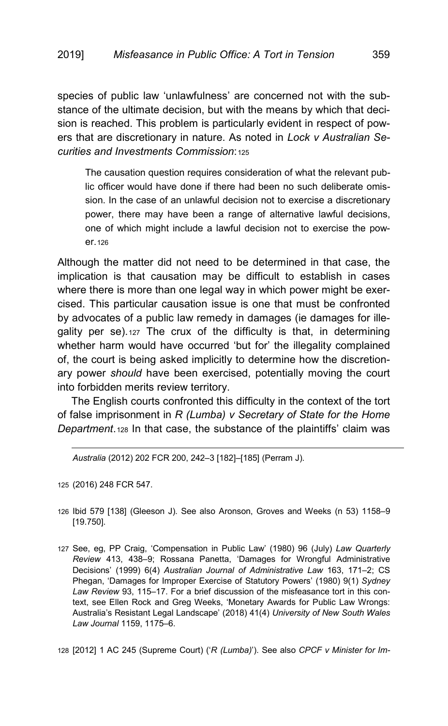species of public law 'unlawfulness' are concerned not with the substance of the ultimate decision, but with the means by which that decision is reached. This problem is particularly evident in respect of powers that are discretionary in nature. As noted in *Lock v Australian Securities and Investments Commission*:[125](#page-22-0)

The causation question requires consideration of what the relevant public officer would have done if there had been no such deliberate omission. In the case of an unlawful decision not to exercise a discretionary power, there may have been a range of alternative lawful decisions, one of which might include a lawful decision not to exercise the power.[126](#page-22-1)

Although the matter did not need to be determined in that case, the implication is that causation may be difficult to establish in cases where there is more than one legal way in which power might be exercised. This particular causation issue is one that must be confronted by advocates of a public law remedy in damages (ie damages for illegality per se).[127](#page-22-2) The crux of the difficulty is that, in determining whether harm would have occurred 'but for' the illegality complained of, the court is being asked implicitly to determine how the discretionary power *should* have been exercised, potentially moving the court into forbidden merits review territory.

The English courts confronted this difficulty in the context of the tort of false imprisonment in *R (Lumba) v Secretary of State for the Home Department*.[128](#page-22-3) In that case, the substance of the plaintiffs' claim was

*Australia* (2012) 202 FCR 200, 242–3 [182]–[185] (Perram J).

<span id="page-22-0"></span>125 (2016) 248 FCR 547.

<span id="page-22-4"></span>-

- <span id="page-22-1"></span>126 Ibid 579 [138] (Gleeson J). See also Aronson, Groves and Weeks (n [53\)](#page-10-7) 1158–9 [19.750].
- <span id="page-22-2"></span>127 See, eg, PP Craig, 'Compensation in Public Law' (1980) 96 (July) *Law Quarterly Review* 413, 438–9; Rossana Panetta, 'Damages for Wrongful Administrative Decisions' (1999) 6(4) *Australian Journal of Administrative Law* 163, 171–2; CS Phegan, 'Damages for Improper Exercise of Statutory Powers' (1980) 9(1) *Sydney Law Review* 93, 115–17. For a brief discussion of the misfeasance tort in this context, see Ellen Rock and Greg Weeks, 'Monetary Awards for Public Law Wrongs: Australia's Resistant Legal Landscape' (2018) 41(4) *University of New South Wales Law Journal* 1159, 1175–6.

<span id="page-22-3"></span>128 [2012] 1 AC 245 (Supreme Court) ('*R (Lumba)*'). See also *CPCF v Minister for Im-*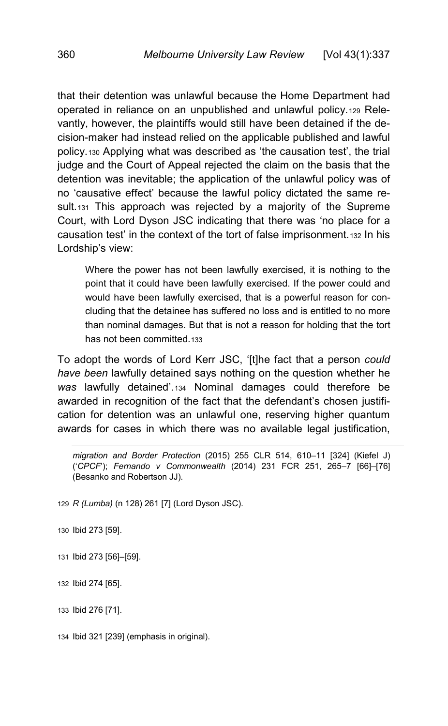that their detention was unlawful because the Home Department had operated in reliance on an unpublished and unlawful policy.[129](#page-23-0) Relevantly, however, the plaintiffs would still have been detained if the decision-maker had instead relied on the applicable published and lawful policy.[130](#page-23-1) Applying what was described as 'the causation test', the trial judge and the Court of Appeal rejected the claim on the basis that the detention was inevitable; the application of the unlawful policy was of no 'causative effect' because the lawful policy dictated the same re-sult.<sub>[131](#page-23-2)</sub> This approach was rejected by a majority of the Supreme Court, with Lord Dyson JSC indicating that there was 'no place for a causation test' in the context of the tort of false imprisonment.[132](#page-23-3) In his Lordship's view:

Where the power has not been lawfully exercised, it is nothing to the point that it could have been lawfully exercised. If the power could and would have been lawfully exercised, that is a powerful reason for concluding that the detainee has suffered no loss and is entitled to no more than nominal damages. But that is not a reason for holding that the tort has not been committed.[133](#page-23-4)

To adopt the words of Lord Kerr JSC, '[t]he fact that a person *could have been* lawfully detained says nothing on the question whether he *was* lawfully detained'.[134](#page-23-5) Nominal damages could therefore be awarded in recognition of the fact that the defendant's chosen justification for detention was an unlawful one, reserving higher quantum awards for cases in which there was no available legal justification,

<span id="page-23-0"></span>129 *R (Lumba)* ([n 128\)](#page-22-4) 261 [7] (Lord Dyson JSC).

<span id="page-23-1"></span>130 Ibid 273 [59].

<span id="page-23-2"></span>131 Ibid 273 [56]–[59].

<span id="page-23-3"></span>132 Ibid 274 [65].

<span id="page-23-4"></span>133 Ibid 276 [71].

<span id="page-23-5"></span>134 Ibid 321 [239] (emphasis in original).

j *migration and Border Protection* (2015) 255 CLR 514, 610–11 [324] (Kiefel J) ('*CPCF*'); *Fernando v Commonwealth* (2014) 231 FCR 251, 265–7 [66]–[76] (Besanko and Robertson JJ).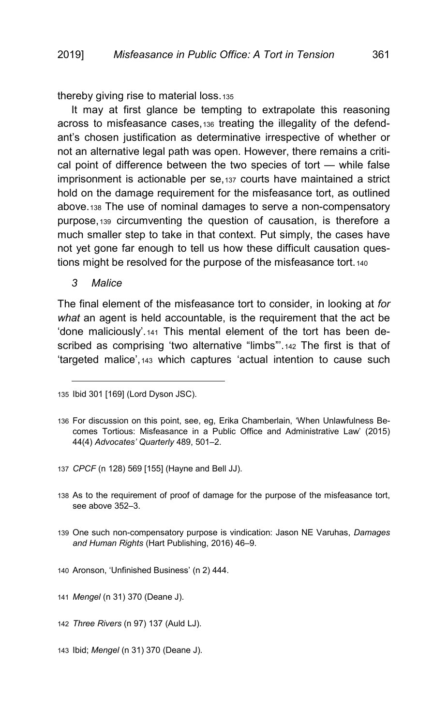thereby giving rise to material loss.[135](#page-24-1)

It may at first glance be tempting to extrapolate this reasoning across to misfeasance cases,[136](#page-24-2) treating the illegality of the defendant's chosen justification as determinative irrespective of whether or not an alternative legal path was open. However, there remains a critical point of difference between the two species of tort — while false imprisonment is actionable per se,[137](#page-24-3) courts have maintained a strict hold on the damage requirement for the misfeasance tort, as outlined above.[138](#page-24-4) The use of nominal damages to serve a non-compensatory purpose,[139](#page-24-5) circumventing the question of causation, is therefore a much smaller step to take in that context. Put simply, the cases have not yet gone far enough to tell us how these difficult causation questions might be resolved for the purpose of the misfeasance tort.[140](#page-24-6)

<span id="page-24-0"></span>*3 Malice*

j

The final element of the misfeasance tort to consider, in looking at *for what* an agent is held accountable, is the requirement that the act be 'done maliciously'.[141](#page-24-7) This mental element of the tort has been de-scribed as comprising 'two alternative "limbs".<sup>[142](#page-24-8)</sup> The first is that of 'targeted malice',[143](#page-24-9) which captures 'actual intention to cause such

- <span id="page-24-3"></span>137 *CPCF* ([n 128\)](#page-22-4) 569 [155] (Hayne and Bell JJ).
- <span id="page-24-4"></span>138 As to the requirement of proof of damage for the purpose of the misfeasance tort, see above 352–3.
- <span id="page-24-5"></span>139 One such non-compensatory purpose is vindication: Jason NE Varuhas, *Damages and Human Rights* (Hart Publishing, 2016) 46–9.
- <span id="page-24-6"></span>140 Aronson, 'Unfinished Business' (n [2\)](#page-1-2) 444.

<span id="page-24-7"></span>141 *Mengel* (n [31\)](#page-7-6) 370 (Deane J).

<span id="page-24-1"></span><sup>135</sup> Ibid 301 [169] (Lord Dyson JSC).

<span id="page-24-2"></span><sup>136</sup> For discussion on this point, see, eg, Erika Chamberlain, 'When Unlawfulness Becomes Tortious: Misfeasance in a Public Office and Administrative Law' (2015) 44(4) *Advocates' Quarterly* 489, 501–2.

<span id="page-24-8"></span><sup>142</sup> *Three Rivers* ([n 97\)](#page-17-6) 137 (Auld LJ).

<span id="page-24-9"></span><sup>143</sup> Ibid; *Mengel* ([n 31\)](#page-7-6) 370 (Deane J).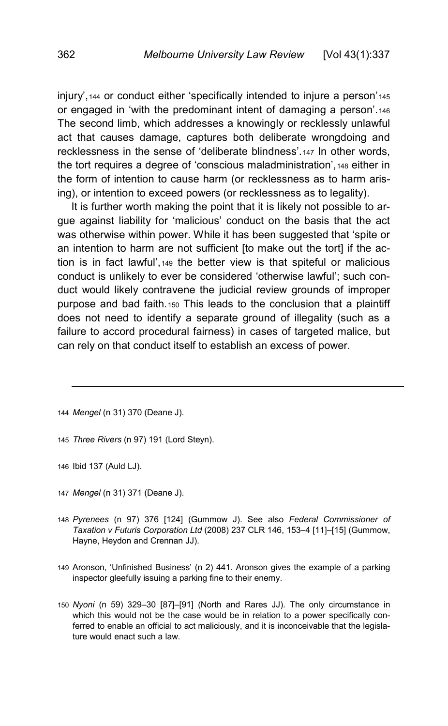injury',[144](#page-25-0) or conduct either 'specifically intended to injure a person'[145](#page-25-1) or engaged in 'with the predominant intent of damaging a person'.[146](#page-25-2) The second limb, which addresses a knowingly or recklessly unlawful act that causes damage, captures both deliberate wrongdoing and recklessness in the sense of 'deliberate blindness'.[147](#page-25-3) In other words, the tort requires a degree of 'conscious maladministration',[148](#page-25-4) either in the form of intention to cause harm (or recklessness as to harm arising), or intention to exceed powers (or recklessness as to legality).

It is further worth making the point that it is likely not possible to argue against liability for 'malicious' conduct on the basis that the act was otherwise within power. While it has been suggested that 'spite or an intention to harm are not sufficient [to make out the tort] if the action is in fact lawful',[149](#page-25-5) the better view is that spiteful or malicious conduct is unlikely to ever be considered 'otherwise lawful'; such conduct would likely contravene the judicial review grounds of improper purpose and bad faith.[150](#page-25-6) This leads to the conclusion that a plaintiff does not need to identify a separate ground of illegality (such as a failure to accord procedural fairness) in cases of targeted malice, but can rely on that conduct itself to establish an excess of power.

- <span id="page-25-1"></span>145 *Three Rivers* ([n 97\)](#page-17-6) 191 (Lord Steyn).
- <span id="page-25-2"></span>146 Ibid 137 (Auld LJ).

- <span id="page-25-3"></span>147 *Mengel* (n [31\)](#page-7-6) 371 (Deane J).
- <span id="page-25-4"></span>148 *Pyrenees* (n [97\)](#page-17-6) 376 [124] (Gummow J). See also *Federal Commissioner of Taxation v Futuris Corporation Ltd* (2008) 237 CLR 146, 153–4 [11]–[15] (Gummow, Hayne, Heydon and Crennan JJ).
- <span id="page-25-5"></span>149 Aronson, 'Unfinished Business' (n [2\)](#page-1-2) 441. Aronson gives the example of a parking inspector gleefully issuing a parking fine to their enemy.
- <span id="page-25-6"></span>150 *Nyoni* (n [59\)](#page-11-0) 329–30 [87]–[91] (North and Rares JJ). The only circumstance in which this would not be the case would be in relation to a power specifically conferred to enable an official to act maliciously, and it is inconceivable that the legislature would enact such a law.

<span id="page-25-0"></span><sup>144</sup> *Mengel* (n [31\)](#page-7-6) 370 (Deane J).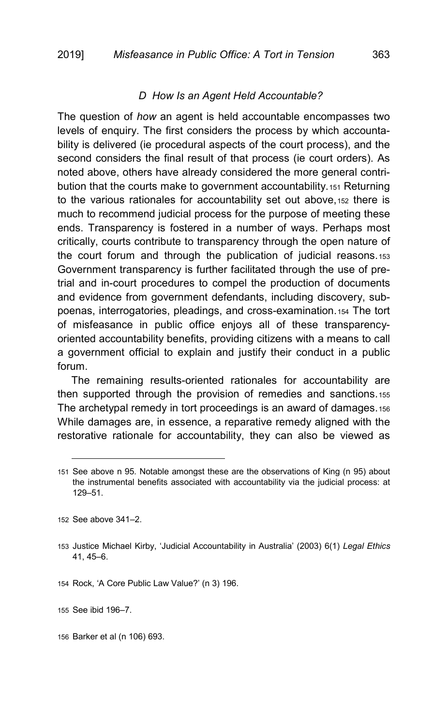## *D How Is an Agent Held Accountable?*

<span id="page-26-0"></span>The question of *how* an agent is held accountable encompasses two levels of enquiry. The first considers the process by which accountability is delivered (ie procedural aspects of the court process), and the second considers the final result of that process (ie court orders). As noted above, others have already considered the more general contribution that the courts make to government accountability.[151](#page-26-1) Returning to the various rationales for accountability set out above,[152](#page-26-2) there is much to recommend judicial process for the purpose of meeting these ends. Transparency is fostered in a number of ways. Perhaps most critically, courts contribute to transparency through the open nature of the court forum and through the publication of judicial reasons.[153](#page-26-3) Government transparency is further facilitated through the use of pretrial and in-court procedures to compel the production of documents and evidence from government defendants, including discovery, subpoenas, interrogatories, pleadings, and cross-examination.[154](#page-26-4) The tort of misfeasance in public office enjoys all of these transparencyoriented accountability benefits, providing citizens with a means to call a government official to explain and justify their conduct in a public forum.

The remaining results-oriented rationales for accountability are then supported through the provision of remedies and sanctions.[155](#page-26-5) The archetypal remedy in tort proceedings is an award of damages.[156](#page-26-6) While damages are, in essence, a reparative remedy aligned with the restorative rationale for accountability, they can also be viewed as

j

<span id="page-26-4"></span>154 Rock, 'A Core Public Law Value?' (n [3\)](#page-2-9) 196.

<span id="page-26-5"></span>155 See ibid 196–7.

<span id="page-26-6"></span>156 Barker et al ([n 106\)](#page-18-7) 693.

<span id="page-26-1"></span><sup>151</sup> See above n [95.](#page-16-5) Notable amongst these are the observations of King (n [95\)](#page-16-5) about the instrumental benefits associated with accountability via the judicial process: at 129–51.

<span id="page-26-2"></span><sup>152</sup> See above 341–2.

<span id="page-26-3"></span><sup>153</sup> Justice Michael Kirby, 'Judicial Accountability in Australia' (2003) 6(1) *Legal Ethics* 41, 45–6.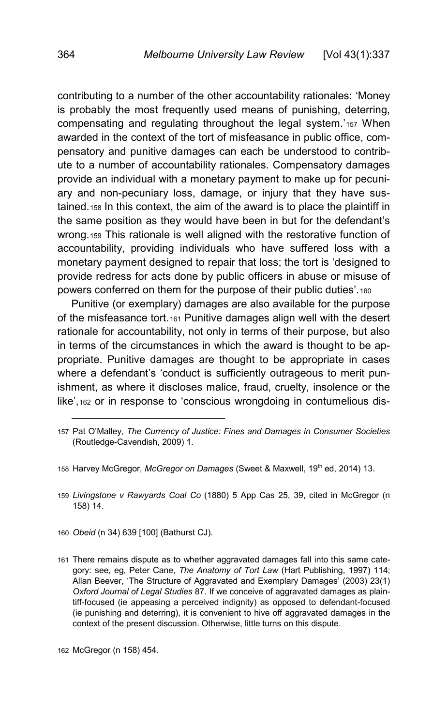contributing to a number of the other accountability rationales: 'Money is probably the most frequently used means of punishing, deterring, compensating and regulating throughout the legal system.'[157](#page-27-1) When awarded in the context of the tort of misfeasance in public office, compensatory and punitive damages can each be understood to contribute to a number of accountability rationales. Compensatory damages provide an individual with a monetary payment to make up for pecuniary and non-pecuniary loss, damage, or injury that they have sustained.[158](#page-27-2) In this context, the aim of the award is to place the plaintiff in the same position as they would have been in but for the defendant's wrong.[159](#page-27-3) This rationale is well aligned with the restorative function of accountability, providing individuals who have suffered loss with a monetary payment designed to repair that loss; the tort is 'designed to provide redress for acts done by public officers in abuse or misuse of powers conferred on them for the purpose of their public duties'.[160](#page-27-4)

<span id="page-27-0"></span>Punitive (or exemplary) damages are also available for the purpose of the misfeasance tort.[161](#page-27-5) Punitive damages align well with the desert rationale for accountability, not only in terms of their purpose, but also in terms of the circumstances in which the award is thought to be appropriate. Punitive damages are thought to be appropriate in cases where a defendant's 'conduct is sufficiently outrageous to merit punishment, as where it discloses malice, fraud, cruelty, insolence or the like',[162](#page-27-6) or in response to 'conscious wrongdoing in contumelious dis-

<span id="page-27-3"></span>159 *Livingstone v Rawyards Coal Co* (1880) 5 App Cas 25, 39, cited in McGregor (n [158\)](#page-27-0) 14.

<span id="page-27-4"></span>160 *Obeid* (n [34\)](#page-8-13) 639 [100] (Bathurst CJ).

<span id="page-27-1"></span><sup>157</sup> Pat O'Malley, *The Currency of Justice: Fines and Damages in Consumer Societies* (Routledge-Cavendish, 2009) 1.

<span id="page-27-2"></span><sup>158</sup> Harvey McGregor, *McGregor on Damages* (Sweet & Maxwell, 19th ed, 2014) 13.

<span id="page-27-5"></span><sup>161</sup> There remains dispute as to whether aggravated damages fall into this same category: see, eg, Peter Cane, *The Anatomy of Tort Law* (Hart Publishing, 1997) 114; Allan Beever, 'The Structure of Aggravated and Exemplary Damages' (2003) 23(1) *Oxford Journal of Legal Studies* 87. If we conceive of aggravated damages as plaintiff-focused (ie appeasing a perceived indignity) as opposed to defendant-focused (ie punishing and deterring), it is convenient to hive off aggravated damages in the context of the present discussion. Otherwise, little turns on this dispute.

<span id="page-27-6"></span><sup>162</sup> McGregor (n [158\)](#page-27-0) 454.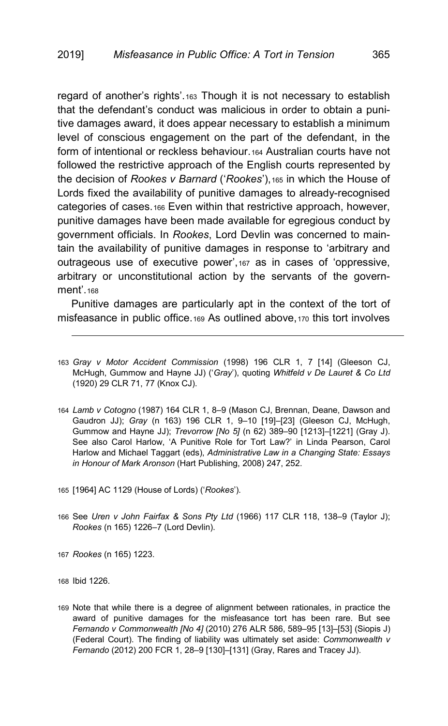<span id="page-28-10"></span><span id="page-28-1"></span><span id="page-28-0"></span>regard of another's rights'.[163](#page-28-2) Though it is not necessary to establish that the defendant's conduct was malicious in order to obtain a punitive damages award, it does appear necessary to establish a minimum level of conscious engagement on the part of the defendant, in the form of intentional or reckless behaviour.[164](#page-28-3) Australian courts have not followed the restrictive approach of the English courts represented by the decision of *Rookes v Barnard* ('*Rookes*'),[165](#page-28-4) in which the House of Lords fixed the availability of punitive damages to already-recognised categories of cases.[166](#page-28-5) Even within that restrictive approach, however, punitive damages have been made available for egregious conduct by government officials. In *Rookes*, Lord Devlin was concerned to maintain the availability of punitive damages in response to 'arbitrary and outrageous use of executive power',[167](#page-28-6) as in cases of 'oppressive, arbitrary or unconstitutional action by the servants of the govern-ment' [168](#page-28-7)

Punitive damages are particularly apt in the context of the tort of misfeasance in public office.[169](#page-28-8) As outlined above,[170](#page-28-9) this tort involves

- 166 See *Uren v John Fairfax & Sons Pty Ltd* (1966) 117 CLR 118, 138–9 (Taylor J); *Rookes* ([n 165\)](#page-28-1) 1226–7 (Lord Devlin).
- <span id="page-28-7"></span><span id="page-28-6"></span>167 *Rookes* ([n 165\)](#page-28-1) 1223.

<span id="page-28-8"></span>168 Ibid 1226.

j

169 Note that while there is a degree of alignment between rationales, in practice the award of punitive damages for the misfeasance tort has been rare. But see *Fernando v Commonwealth [No 4]* (2010) 276 ALR 586, 589–95 [13]–[53] (Siopis J) (Federal Court). The finding of liability was ultimately set aside: *Commonwealth v Fernando* (2012) 200 FCR 1, 28–9 [130]–[131] (Gray, Rares and Tracey JJ).

<span id="page-28-2"></span><sup>163</sup> *Gray v Motor Accident Commission* (1998) 196 CLR 1, 7 [14] (Gleeson CJ, McHugh, Gummow and Hayne JJ) ('*Gray*'), quoting *Whitfeld v De Lauret & Co Ltd* (1920) 29 CLR 71, 77 (Knox CJ).

<span id="page-28-3"></span><sup>164</sup> *Lamb v Cotogno* (1987) 164 CLR 1, 8–9 (Mason CJ, Brennan, Deane, Dawson and Gaudron JJ); *Gray* (n [163\)](#page-28-0) 196 CLR 1, 9–10 [19]–[23] (Gleeson CJ, McHugh, Gummow and Hayne JJ); *Trevorrow [No 5]* (n [62\)](#page-11-10) 389–90 [1213]–[1221] (Gray J). See also Carol Harlow, 'A Punitive Role for Tort Law?' in Linda Pearson, Carol Harlow and Michael Taggart (eds), *Administrative Law in a Changing State: Essays in Honour of Mark Aronson* (Hart Publishing, 2008) 247, 252.

<span id="page-28-9"></span><span id="page-28-5"></span><span id="page-28-4"></span><sup>165</sup> [1964] AC 1129 (House of Lords) ('*Rookes*').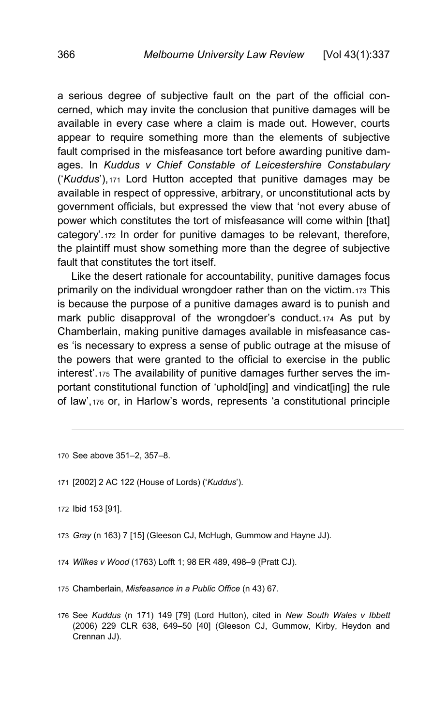<span id="page-29-0"></span>a serious degree of subjective fault on the part of the official concerned, which may invite the conclusion that punitive damages will be available in every case where a claim is made out. However, courts appear to require something more than the elements of subjective fault comprised in the misfeasance tort before awarding punitive damages. In *Kuddus v Chief Constable of Leicestershire Constabulary*  ('*Kuddus*'),[171](#page-29-1) Lord Hutton accepted that punitive damages may be available in respect of oppressive, arbitrary, or unconstitutional acts by government officials, but expressed the view that 'not every abuse of power which constitutes the tort of misfeasance will come within [that] category'.[172](#page-29-2) In order for punitive damages to be relevant, therefore, the plaintiff must show something more than the degree of subjective fault that constitutes the tort itself.

Like the desert rationale for accountability, punitive damages focus primarily on the individual wrongdoer rather than on the victim.[173](#page-29-3) This is because the purpose of a punitive damages award is to punish and mark public disapproval of the wrongdoer's conduct.[174](#page-29-4) As put by Chamberlain, making punitive damages available in misfeasance cases 'is necessary to express a sense of public outrage at the misuse of the powers that were granted to the official to exercise in the public interest'.[175](#page-29-5) The availability of punitive damages further serves the important constitutional function of 'uphold[ing] and vindicat[ing] the rule of law',[176](#page-29-6) or, in Harlow's words, represents 'a constitutional principle

<sup>170</sup> See above 351–2, 357–8.

<span id="page-29-1"></span><sup>171</sup> [2002] 2 AC 122 (House of Lords) ('*Kuddus*').

<span id="page-29-2"></span><sup>172</sup> Ibid 153 [91].

<span id="page-29-3"></span><sup>173</sup> *Gray* (n [163\)](#page-28-0) 7 [15] (Gleeson CJ, McHugh, Gummow and Hayne JJ).

<span id="page-29-4"></span><sup>174</sup> *Wilkes v Wood* (1763) Lofft 1; 98 ER 489, 498–9 (Pratt CJ).

<span id="page-29-5"></span><sup>175</sup> Chamberlain, *Misfeasance in a Public Office* ([n 43\)](#page-9-8) 67.

<span id="page-29-6"></span><sup>176</sup> See *Kuddus* (n [171\)](#page-29-0) 149 [79] (Lord Hutton), cited in *New South Wales v Ibbett* (2006) 229 CLR 638, 649–50 [40] (Gleeson CJ, Gummow, Kirby, Heydon and Crennan JJ).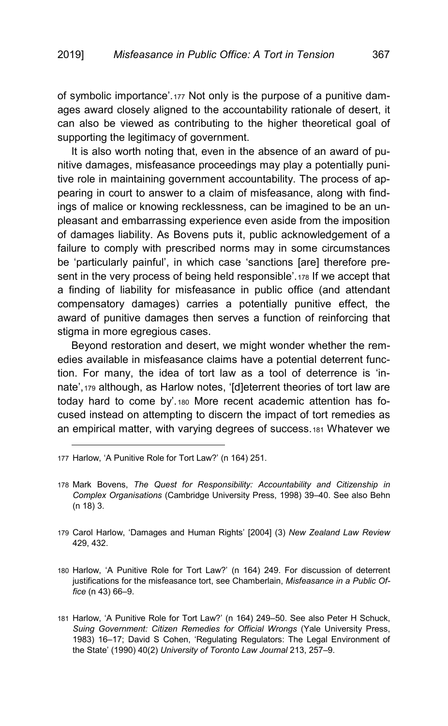of symbolic importance'.[177](#page-30-0) Not only is the purpose of a punitive damages award closely aligned to the accountability rationale of desert, it can also be viewed as contributing to the higher theoretical goal of supporting the legitimacy of government.

It is also worth noting that, even in the absence of an award of punitive damages, misfeasance proceedings may play a potentially punitive role in maintaining government accountability. The process of appearing in court to answer to a claim of misfeasance, along with findings of malice or knowing recklessness, can be imagined to be an unpleasant and embarrassing experience even aside from the imposition of damages liability. As Bovens puts it, public acknowledgement of a failure to comply with prescribed norms may in some circumstances be 'particularly painful', in which case 'sanctions [are] therefore present in the very process of being held responsible'.[178](#page-30-1) If we accept that a finding of liability for misfeasance in public office (and attendant compensatory damages) carries a potentially punitive effect, the award of punitive damages then serves a function of reinforcing that stigma in more egregious cases.

Beyond restoration and desert, we might wonder whether the remedies available in misfeasance claims have a potential deterrent function. For many, the idea of tort law as a tool of deterrence is 'innate',[179](#page-30-2) although, as Harlow notes, '[d]eterrent theories of tort law are today hard to come by'.[180](#page-30-3) More recent academic attention has focused instead on attempting to discern the impact of tort remedies as an empirical matter, with varying degrees of success.[181](#page-30-4) Whatever we

- <span id="page-30-1"></span>178 Mark Bovens, *The Quest for Responsibility: Accountability and Citizenship in Complex Organisations* (Cambridge University Press, 1998) 39–40. See also Behn (n [18\)](#page-4-7) 3.
- <span id="page-30-2"></span>179 Carol Harlow, 'Damages and Human Rights' [2004] (3) *New Zealand Law Review* 429, 432.
- <span id="page-30-3"></span>180 Harlow, 'A Punitive Role for Tort Law?' (n [164\)](#page-28-10) 249. For discussion of deterrent justifications for the misfeasance tort, see Chamberlain, *Misfeasance in a Public Office* (n [43\)](#page-9-8) 66–9.
- <span id="page-30-4"></span>181 Harlow, 'A Punitive Role for Tort Law?' (n [164\)](#page-28-10) 249–50. See also Peter H Schuck, *Suing Government: Citizen Remedies for Official Wrongs* (Yale University Press, 1983) 16–17; David S Cohen, 'Regulating Regulators: The Legal Environment of the State' (1990) 40(2) *University of Toronto Law Journal* 213, 257–9.

<span id="page-30-0"></span><sup>177</sup> Harlow, 'A Punitive Role for Tort Law?' ([n 164\)](#page-28-10) 251.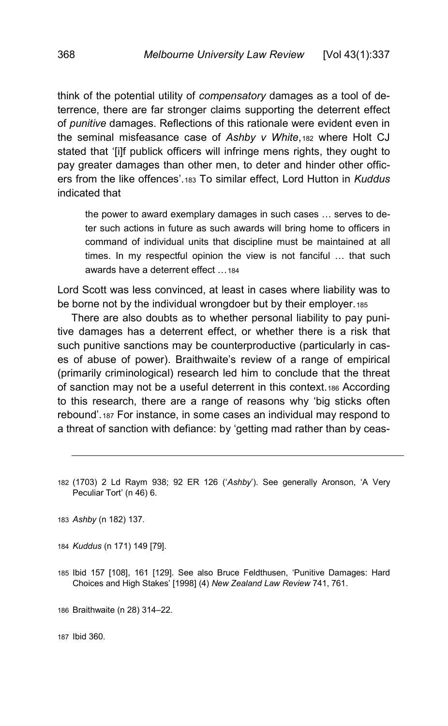think of the potential utility of *compensatory* damages as a tool of deterrence, there are far stronger claims supporting the deterrent effect of *punitive* damages. Reflections of this rationale were evident even in the seminal misfeasance case of *Ashby v White*,[182](#page-31-1) where Holt CJ stated that '[i]f publick officers will infringe mens rights, they ought to pay greater damages than other men, to deter and hinder other officers from the like offences'.[183](#page-31-2) To similar effect, Lord Hutton in *Kuddus* indicated that

<span id="page-31-0"></span>the power to award exemplary damages in such cases … serves to deter such actions in future as such awards will bring home to officers in command of individual units that discipline must be maintained at all times. In my respectful opinion the view is not fanciful … that such awards have a deterrent effect […184](#page-31-3)

Lord Scott was less convinced, at least in cases where liability was to be borne not by the individual wrongdoer but by their employer.[185](#page-31-4)

There are also doubts as to whether personal liability to pay punitive damages has a deterrent effect, or whether there is a risk that such punitive sanctions may be counterproductive (particularly in cases of abuse of power). Braithwaite's review of a range of empirical (primarily criminological) research led him to conclude that the threat of sanction may not be a useful deterrent in this context.[186](#page-31-5) According to this research, there are a range of reasons why 'big sticks often rebound'.[187](#page-31-6) For instance, in some cases an individual may respond to a threat of sanction with defiance: by 'getting mad rather than by ceas-

<span id="page-31-1"></span>182 (1703) 2 Ld Raym 938; 92 ER 126 ('*Ashby*'). See generally Aronson, 'A Very Peculiar Tort' ([n 46\)](#page-9-7) 6.

<span id="page-31-2"></span>183 *Ashby* (n [182\)](#page-31-0) 137.

-

<span id="page-31-3"></span>184 *Kuddus* ([n 171\)](#page-29-0) 149 [79].

<span id="page-31-4"></span>185 Ibid 157 [108], 161 [129]. See also Bruce Feldthusen, 'Punitive Damages: Hard Choices and High Stakes' [1998] (4) *New Zealand Law Review* 741, 761.

<span id="page-31-5"></span>186 Braithwaite ([n 28\)](#page-7-7) 314–22.

<span id="page-31-6"></span>187 Ibid 360.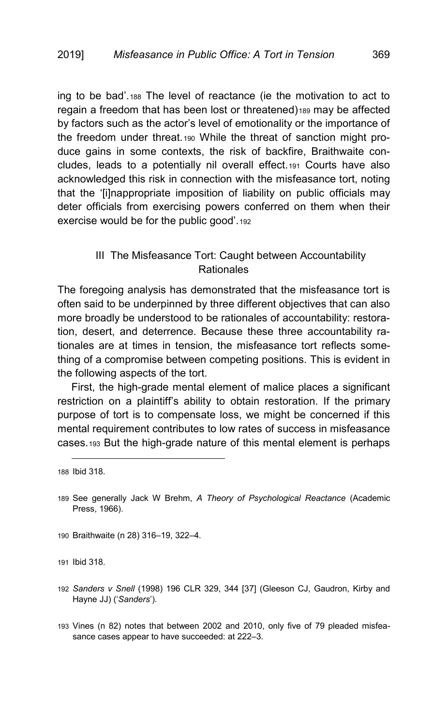ing to be bad'.[188](#page-32-1) The level of reactance (ie the motivation to act to regain a freedom that has been lost or threatened)<sub>[189](#page-32-2)</sub> may be affected by factors such as the actor's level of emotionality or the importance of the freedom under threat.[190](#page-32-3) While the threat of sanction might produce gains in some contexts, the risk of backfire, Braithwaite concludes, leads to a potentially nil overall effect.[191](#page-32-4) Courts have also acknowledged this risk in connection with the misfeasance tort, noting that the '[i]nappropriate imposition of liability on public officials may deter officials from exercising powers conferred on them when their exercise would be for the public good'.[192](#page-32-5)

# <span id="page-32-7"></span><span id="page-32-0"></span>III The Misfeasance Tort: Caught between Accountability **Rationales**

The foregoing analysis has demonstrated that the misfeasance tort is often said to be underpinned by three different objectives that can also more broadly be understood to be rationales of accountability: restoration, desert, and deterrence. Because these three accountability rationales are at times in tension, the misfeasance tort reflects something of a compromise between competing positions. This is evident in the following aspects of the tort.

First, the high-grade mental element of malice places a significant restriction on a plaintiff's ability to obtain restoration. If the primary purpose of tort is to compensate loss, we might be concerned if this mental requirement contributes to low rates of success in misfeasance cases.[193](#page-32-6) But the high-grade nature of this mental element is perhaps

j

<span id="page-32-3"></span>190 Braithwaite ([n 28\)](#page-7-7) 316–19, 322–4.

<span id="page-32-4"></span>191 Ibid 318.

- <span id="page-32-5"></span>192 *Sanders v Snell* (1998) 196 CLR 329, 344 [37] (Gleeson CJ, Gaudron, Kirby and Hayne JJ) ('*Sanders*').
- <span id="page-32-6"></span>193 Vines (n [82\)](#page-14-9) notes that between 2002 and 2010, only five of 79 pleaded misfeasance cases appear to have succeeded: at 222–3.

<span id="page-32-1"></span><sup>188</sup> Ibid 318.

<span id="page-32-2"></span><sup>189</sup> See generally Jack W Brehm, *A Theory of Psychological Reactance* (Academic Press, 1966).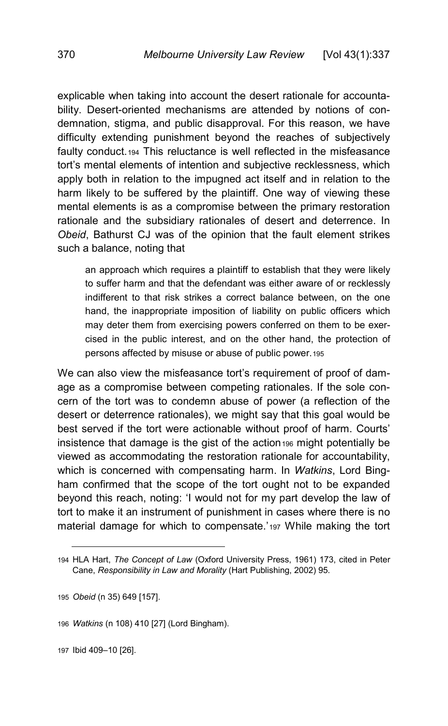explicable when taking into account the desert rationale for accountability. Desert-oriented mechanisms are attended by notions of condemnation, stigma, and public disapproval. For this reason, we have difficulty extending punishment beyond the reaches of subjectively faulty conduct.[194](#page-33-0) This reluctance is well reflected in the misfeasance tort's mental elements of intention and subjective recklessness, which apply both in relation to the impugned act itself and in relation to the harm likely to be suffered by the plaintiff. One way of viewing these mental elements is as a compromise between the primary restoration rationale and the subsidiary rationales of desert and deterrence. In *Obeid*, Bathurst CJ was of the opinion that the fault element strikes such a balance, noting that

an approach which requires a plaintiff to establish that they were likely to suffer harm and that the defendant was either aware of or recklessly indifferent to that risk strikes a correct balance between, on the one hand, the inappropriate imposition of liability on public officers which may deter them from exercising powers conferred on them to be exercised in the public interest, and on the other hand, the protection of persons affected by misuse or abuse of public power.[195](#page-33-1)

We can also view the misfeasance tort's requirement of proof of damage as a compromise between competing rationales. If the sole concern of the tort was to condemn abuse of power (a reflection of the desert or deterrence rationales), we might say that this goal would be best served if the tort were actionable without proof of harm. Courts' insistence that damage is the gist of the action $196$  might potentially be viewed as accommodating the restoration rationale for accountability, which is concerned with compensating harm. In *Watkins*, Lord Bingham confirmed that the scope of the tort ought not to be expanded beyond this reach, noting: 'I would not for my part develop the law of tort to make it an instrument of punishment in cases where there is no material damage for which to compensate.'[197](#page-33-3) While making the tort

<span id="page-33-3"></span>197 Ibid 409–10 [26].

<span id="page-33-0"></span><sup>194</sup> HLA Hart, *The Concept of Law* (Oxford University Press, 1961) 173, cited in Peter Cane, *Responsibility in Law and Morality* (Hart Publishing, 2002) 95.

<span id="page-33-1"></span><sup>195</sup> *Obeid* (n [35\)](#page-8-14) 649 [157].

<span id="page-33-2"></span><sup>196</sup> *Watkins* (n [108\)](#page-18-8) 410 [27] (Lord Bingham).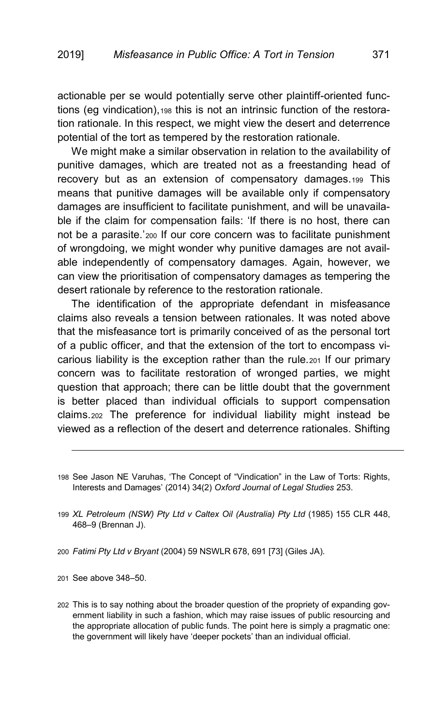actionable per se would potentially serve other plaintiff-oriented functions (eg vindication),[198](#page-34-0) this is not an intrinsic function of the restoration rationale. In this respect, we might view the desert and deterrence potential of the tort as tempered by the restoration rationale.

We might make a similar observation in relation to the availability of punitive damages, which are treated not as a freestanding head of recovery but as an extension of compensatory damages.[199](#page-34-1) This means that punitive damages will be available only if compensatory damages are insufficient to facilitate punishment, and will be unavailable if the claim for compensation fails: 'If there is no host, there can not be a parasite.'[200](#page-34-2) If our core concern was to facilitate punishment of wrongdoing, we might wonder why punitive damages are not available independently of compensatory damages. Again, however, we can view the prioritisation of compensatory damages as tempering the desert rationale by reference to the restoration rationale.

The identification of the appropriate defendant in misfeasance claims also reveals a tension between rationales. It was noted above that the misfeasance tort is primarily conceived of as the personal tort of a public officer, and that the extension of the tort to encompass vicarious liability is the exception rather than the rule.[201](#page-34-3) If our primary concern was to facilitate restoration of wronged parties, we might question that approach; there can be little doubt that the government is better placed than individual officials to support compensation claims.[202](#page-34-4) The preference for individual liability might instead be viewed as a reflection of the desert and deterrence rationales. Shifting

- <span id="page-34-1"></span>199 *XL Petroleum (NSW) Pty Ltd v Caltex Oil (Australia) Pty Ltd* (1985) 155 CLR 448, 468–9 (Brennan J).
- <span id="page-34-2"></span>200 *Fatimi Pty Ltd v Bryant* (2004) 59 NSWLR 678, 691 [73] (Giles JA).

<span id="page-34-3"></span>201 See above 348–50.

-

<span id="page-34-4"></span>202 This is to say nothing about the broader question of the propriety of expanding government liability in such a fashion, which may raise issues of public resourcing and the appropriate allocation of public funds. The point here is simply a pragmatic one: the government will likely have 'deeper pockets' than an individual official.

<span id="page-34-0"></span><sup>198</sup> See Jason NE Varuhas, 'The Concept of "Vindication" in the Law of Torts: Rights, Interests and Damages' (2014) 34(2) *Oxford Journal of Legal Studies* 253.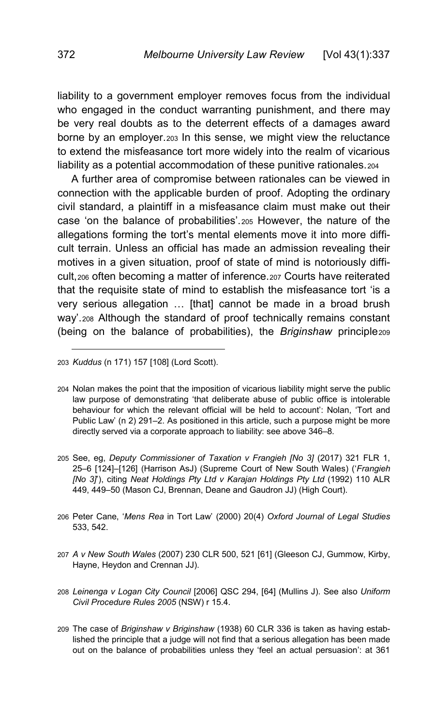liability to a government employer removes focus from the individual who engaged in the conduct warranting punishment, and there may be very real doubts as to the deterrent effects of a damages award borne by an employer.[203](#page-35-0) In this sense, we might view the reluctance to extend the misfeasance tort more widely into the realm of vicarious liability as a potential accommodation of these punitive rationales.[204](#page-35-1)

<span id="page-35-7"></span>A further area of compromise between rationales can be viewed in connection with the applicable burden of proof. Adopting the ordinary civil standard, a plaintiff in a misfeasance claim must make out their case 'on the balance of probabilities'.[205](#page-35-2) However, the nature of the allegations forming the tort's mental elements move it into more difficult terrain. Unless an official has made an admission revealing their motives in a given situation, proof of state of mind is notoriously difficult,[206](#page-35-3) often becoming a matter of inference.[207](#page-35-4) Courts have reiterated that the requisite state of mind to establish the misfeasance tort 'is a very serious allegation … [that] cannot be made in a broad brush way'.[208](#page-35-5) Although the standard of proof technically remains constant (being on the balance of probabilities), the *Briginshaw* principle[209](#page-35-6)

- <span id="page-35-2"></span>205 See, eg, *Deputy Commissioner of Taxation v Frangieh [No 3]* (2017) 321 FLR 1, 25–6 [124]–[126] (Harrison AsJ) (Supreme Court of New South Wales) ('*Frangieh [No 3]*'), citing *Neat Holdings Pty Ltd v Karajan Holdings Pty Ltd* (1992) 110 ALR 449, 449–50 (Mason CJ, Brennan, Deane and Gaudron JJ) (High Court).
- <span id="page-35-3"></span>206 Peter Cane, '*Mens Rea* in Tort Law' (2000) 20(4) *Oxford Journal of Legal Studies* 533, 542.
- <span id="page-35-4"></span>207 *A v New South Wales* (2007) 230 CLR 500, 521 [61] (Gleeson CJ, Gummow, Kirby, Hayne, Heydon and Crennan JJ).
- <span id="page-35-5"></span>208 *Leinenga v Logan City Council* [2006] QSC 294, [64] (Mullins J). See also *Uniform Civil Procedure Rules 2005* (NSW) r 15.4.
- <span id="page-35-6"></span>209 The case of *Briginshaw v Briginshaw* (1938) 60 CLR 336 is taken as having established the principle that a judge will not find that a serious allegation has been made out on the balance of probabilities unless they 'feel an actual persuasion': at 361

<span id="page-35-0"></span><sup>203</sup> *Kuddus* ([n 171\)](#page-29-0) 157 [108] (Lord Scott).

<span id="page-35-1"></span><sup>204</sup> Nolan makes the point that the imposition of vicarious liability might serve the public law purpose of demonstrating 'that deliberate abuse of public office is intolerable behaviour for which the relevant official will be held to account': Nolan, 'Tort and Public Law' ([n 2\)](#page-1-2) 291–2. As positioned in this article, such a purpose might be more directly served via a corporate approach to liability: see above 346–8.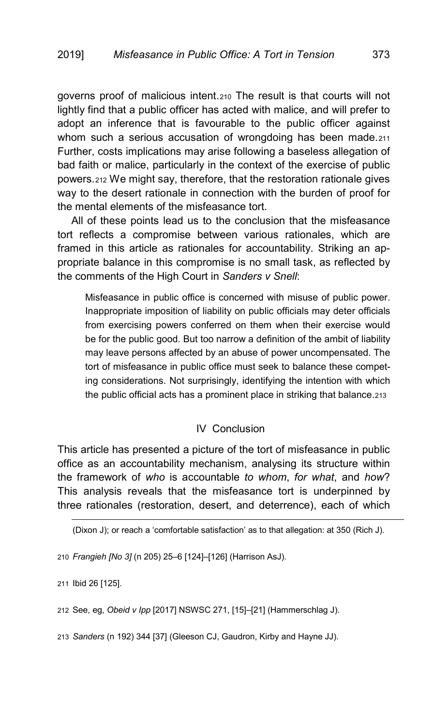governs proof of malicious intent.[210](#page-36-1) The result is that courts will not lightly find that a public officer has acted with malice, and will prefer to adopt an inference that is favourable to the public officer against whom such a serious accusation of wrongdoing has been made.[211](#page-36-2) Further, costs implications may arise following a baseless allegation of bad faith or malice, particularly in the context of the exercise of public powers.[212](#page-36-3) We might say, therefore, that the restoration rationale gives way to the desert rationale in connection with the burden of proof for the mental elements of the misfeasance tort.

All of these points lead us to the conclusion that the misfeasance tort reflects a compromise between various rationales, which are framed in this article as rationales for accountability. Striking an appropriate balance in this compromise is no small task, as reflected by the comments of the High Court in *Sanders v Snell*:

Misfeasance in public office is concerned with misuse of public power. Inappropriate imposition of liability on public officials may deter officials from exercising powers conferred on them when their exercise would be for the public good. But too narrow a definition of the ambit of liability may leave persons affected by an abuse of power uncompensated. The tort of misfeasance in public office must seek to balance these competing considerations. Not surprisingly, identifying the intention with which the public official acts has a prominent place in striking that balance.[213](#page-36-4)

### IV Conclusion

<span id="page-36-0"></span>This article has presented a picture of the tort of misfeasance in public office as an accountability mechanism, analysing its structure within the framework of *who* is accountable *to whom*, *for what*, and *how*? This analysis reveals that the misfeasance tort is underpinned by three rationales (restoration, desert, and deterrence), each of which

(Dixon J); or reach a 'comfortable satisfaction' as to that allegation: at 350 (Rich J).

<span id="page-36-1"></span>210 *Frangieh [No 3]* ([n 205\)](#page-35-7) 25–6 [124]–[126] (Harrison AsJ).

<span id="page-36-2"></span>211 Ibid 26 [125].

-

<span id="page-36-3"></span>212 See, eg, *Obeid v Ipp* [2017] NSWSC 271, [15]–[21] (Hammerschlag J).

<span id="page-36-4"></span>213 *Sanders* ([n 192\)](#page-32-7) 344 [37] (Gleeson CJ, Gaudron, Kirby and Hayne JJ).